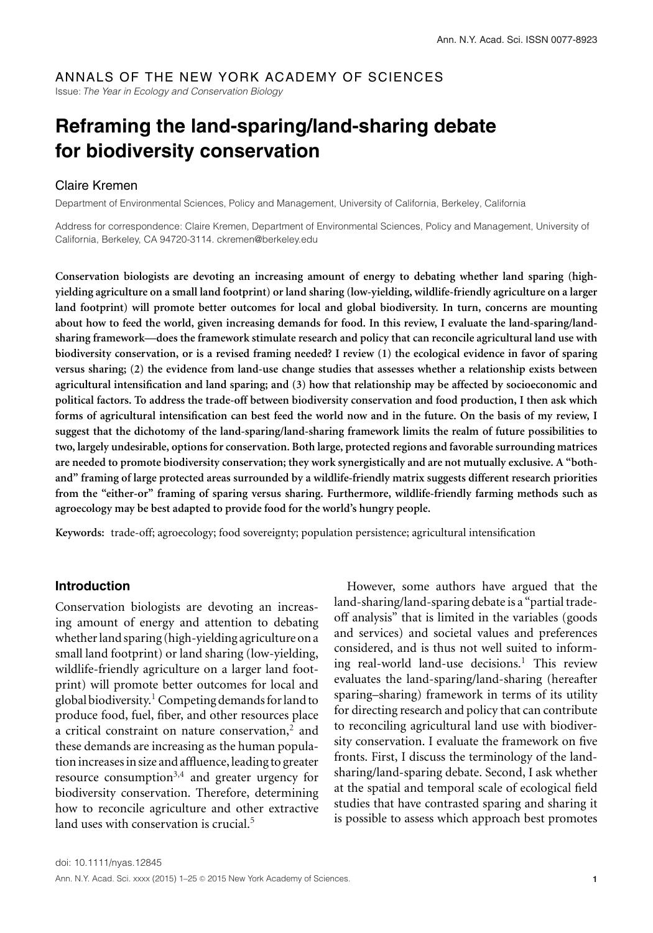# ANNALS OF THE NEW YORK ACADEMY OF SCIENCES

Issue: *The Year in Ecology and Conservation Biology*

# **Reframing the land-sparing/land-sharing debate for biodiversity conservation**

# Claire Kremen

Department of Environmental Sciences, Policy and Management, University of California, Berkeley, California

Address for correspondence: Claire Kremen, Department of Environmental Sciences, Policy and Management, University of California, Berkeley, CA 94720-3114. ckremen@berkeley.edu

**Conservation biologists are devoting an increasing amount of energy to debating whether land sparing (highyielding agriculture on a small land footprint) or land sharing (low-yielding, wildlife-friendly agriculture on a larger land footprint) will promote better outcomes for local and global biodiversity. In turn, concerns are mounting about how to feed the world, given increasing demands for food. In this review, I evaluate the land-sparing/landsharing framework—does the framework stimulate research and policy that can reconcile agricultural land use with biodiversity conservation, or is a revised framing needed? I review (1) the ecological evidence in favor of sparing versus sharing; (2) the evidence from land-use change studies that assesses whether a relationship exists between agricultural intensification and land sparing; and (3) how that relationship may be affected by socioeconomic and political factors. To address the trade-off between biodiversity conservation and food production, I then ask which forms of agricultural intensification can best feed the world now and in the future. On the basis of my review, I suggest that the dichotomy of the land-sparing/land-sharing framework limits the realm of future possibilities to two, largely undesirable, options for conservation. Both large, protected regions and favorable surrounding matrices are needed to promote biodiversity conservation; they work synergistically and are not mutually exclusive. A "bothand" framing of large protected areas surrounded by a wildlife-friendly matrix suggests different research priorities from the "either-or" framing of sparing versus sharing. Furthermore, wildlife-friendly farming methods such as agroecology may be best adapted to provide food for the world's hungry people.**

**Keywords:** trade-off; agroecology; food sovereignty; population persistence; agricultural intensification

#### **Introduction**

Conservation biologists are devoting an increasing amount of energy and attention to debating whether land sparing (high-yielding agriculture on a small land footprint) or land sharing (low-yielding, wildlife-friendly agriculture on a larger land footprint) will promote better outcomes for local and global biodiversity.<sup>1</sup> Competing demands for land to produce food, fuel, fiber, and other resources place a critical constraint on nature conservation, $2$  and these demands are increasing as the human population increases in size and affluence, leading to greater resource consumption<sup>3,4</sup> and greater urgency for biodiversity conservation. Therefore, determining how to reconcile agriculture and other extractive land uses with conservation is crucial.<sup>5</sup>

However, some authors have argued that the land-sharing/land-sparing debate is a "partial tradeoff analysis" that is limited in the variables (goods and services) and societal values and preferences considered, and is thus not well suited to informing real-world land-use decisions.<sup>1</sup> This review evaluates the land-sparing/land-sharing (hereafter sparing–sharing) framework in terms of its utility for directing research and policy that can contribute to reconciling agricultural land use with biodiversity conservation. I evaluate the framework on five fronts. First, I discuss the terminology of the landsharing/land-sparing debate. Second, I ask whether at the spatial and temporal scale of ecological field studies that have contrasted sparing and sharing it is possible to assess which approach best promotes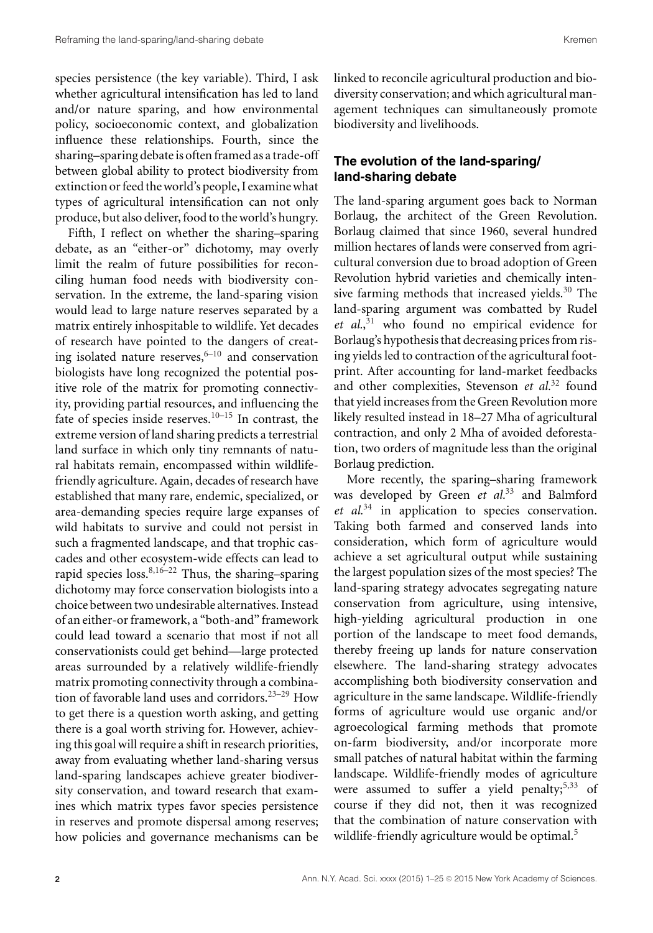species persistence (the key variable). Third, I ask whether agricultural intensification has led to land and/or nature sparing, and how environmental policy, socioeconomic context, and globalization influence these relationships. Fourth, since the sharing–sparing debate is often framed as a trade-off between global ability to protect biodiversity from extinction or feed the world's people, I examine what types of agricultural intensification can not only produce, but also deliver, food to the world's hungry.

Fifth, I reflect on whether the sharing–sparing debate, as an "either-or" dichotomy, may overly limit the realm of future possibilities for reconciling human food needs with biodiversity conservation. In the extreme, the land-sparing vision would lead to large nature reserves separated by a matrix entirely inhospitable to wildlife. Yet decades of research have pointed to the dangers of creating isolated nature reserves, $6-10$  and conservation biologists have long recognized the potential positive role of the matrix for promoting connectivity, providing partial resources, and influencing the fate of species inside reserves.<sup>10–15</sup> In contrast, the extreme version of land sharing predicts a terrestrial land surface in which only tiny remnants of natural habitats remain, encompassed within wildlifefriendly agriculture. Again, decades of research have established that many rare, endemic, specialized, or area-demanding species require large expanses of wild habitats to survive and could not persist in such a fragmented landscape, and that trophic cascades and other ecosystem-wide effects can lead to rapid species loss. $8,16-22$  Thus, the sharing–sparing dichotomy may force conservation biologists into a choice between two undesirable alternatives. Instead of an either-or framework, a "both-and" framework could lead toward a scenario that most if not all conservationists could get behind—large protected areas surrounded by a relatively wildlife-friendly matrix promoting connectivity through a combination of favorable land uses and corridors.23–29 How to get there is a question worth asking, and getting there is a goal worth striving for. However, achieving this goal will require a shift in research priorities, away from evaluating whether land-sharing versus land-sparing landscapes achieve greater biodiversity conservation, and toward research that examines which matrix types favor species persistence in reserves and promote dispersal among reserves; how policies and governance mechanisms can be linked to reconcile agricultural production and biodiversity conservation; and which agricultural management techniques can simultaneously promote biodiversity and livelihoods.

# **The evolution of the land-sparing/ land-sharing debate**

The land-sparing argument goes back to Norman Borlaug, the architect of the Green Revolution. Borlaug claimed that since 1960, several hundred million hectares of lands were conserved from agricultural conversion due to broad adoption of Green Revolution hybrid varieties and chemically intensive farming methods that increased yields.<sup>30</sup> The land-sparing argument was combatted by Rudel *et al.*, <sup>31</sup> who found no empirical evidence for Borlaug's hypothesis that decreasing prices from rising yields led to contraction of the agricultural footprint. After accounting for land-market feedbacks and other complexities, Stevenson et al.<sup>32</sup> found that yield increases from the Green Revolution more likely resulted instead in 18–27 Mha of agricultural contraction, and only 2 Mha of avoided deforestation, two orders of magnitude less than the original Borlaug prediction.

More recently, the sparing–sharing framework was developed by Green *et al.*<sup>33</sup> and Balmford *et al.*<sup>34</sup> in application to species conservation. Taking both farmed and conserved lands into consideration, which form of agriculture would achieve a set agricultural output while sustaining the largest population sizes of the most species? The land-sparing strategy advocates segregating nature conservation from agriculture, using intensive, high-yielding agricultural production in one portion of the landscape to meet food demands, thereby freeing up lands for nature conservation elsewhere. The land-sharing strategy advocates accomplishing both biodiversity conservation and agriculture in the same landscape. Wildlife-friendly forms of agriculture would use organic and/or agroecological farming methods that promote on-farm biodiversity, and/or incorporate more small patches of natural habitat within the farming landscape. Wildlife-friendly modes of agriculture were assumed to suffer a yield penalty; $5,33$  of course if they did not, then it was recognized that the combination of nature conservation with wildlife-friendly agriculture would be optimal.<sup>5</sup>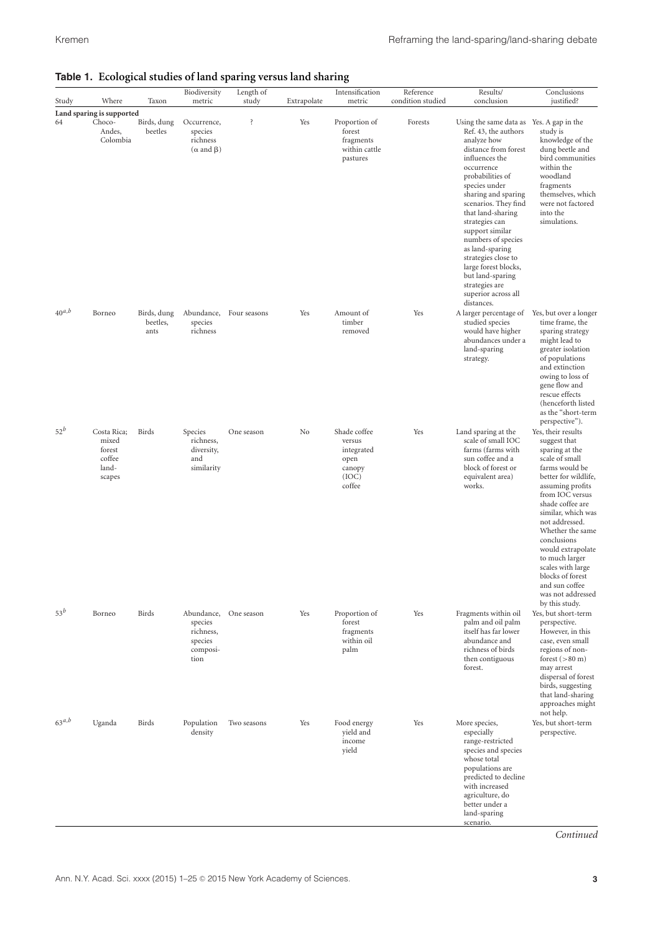| Study            | Where                                                       | Taxon                                 | Biodiversity<br>metric                                                       | Length of<br>study           | Extrapolate | Intensification<br>metric                                                      | Reference<br>condition studied | Results/<br>conclusion                                                                                                                                                                                                                                                                                                                                                                                                                                   | Conclusions<br>justified?                                                                                                                                                                                                                                                                                                                                                                       |
|------------------|-------------------------------------------------------------|---------------------------------------|------------------------------------------------------------------------------|------------------------------|-------------|--------------------------------------------------------------------------------|--------------------------------|----------------------------------------------------------------------------------------------------------------------------------------------------------------------------------------------------------------------------------------------------------------------------------------------------------------------------------------------------------------------------------------------------------------------------------------------------------|-------------------------------------------------------------------------------------------------------------------------------------------------------------------------------------------------------------------------------------------------------------------------------------------------------------------------------------------------------------------------------------------------|
|                  | Land sparing is supported                                   |                                       |                                                                              |                              |             |                                                                                |                                |                                                                                                                                                                                                                                                                                                                                                                                                                                                          |                                                                                                                                                                                                                                                                                                                                                                                                 |
| 64<br>$40^{a,b}$ | Choco-<br>Andes,<br>Colombia<br>Borneo                      | Birds, dung<br>beetles<br>Birds, dung | Occurrence,<br>species<br>richness<br>$(\alpha \text{ and } \beta)$          | ŝ<br>Abundance, Four seasons | Yes<br>Yes  | Proportion of<br>forest<br>fragments<br>within cattle<br>pastures<br>Amount of | Forests<br>Yes                 | Using the same data as Yes. A gap in the<br>Ref. 43, the authors<br>analyze how<br>distance from forest<br>influences the<br>occurrence<br>probabilities of<br>species under<br>sharing and sparing<br>scenarios. They find<br>that land-sharing<br>strategies can<br>support similar<br>numbers of species<br>as land-sparing<br>strategies close to<br>large forest blocks,<br>but land-sparing<br>strategies are<br>superior across all<br>distances. | study is<br>knowledge of the<br>dung beetle and<br>bird communities<br>within the<br>woodland<br>fragments<br>themselves, which<br>were not factored<br>into the<br>simulations.<br>Yes, but over a longer                                                                                                                                                                                      |
|                  |                                                             | beetles,<br>ants                      | species<br>richness                                                          |                              |             | timber<br>removed                                                              |                                | A larger percentage of<br>studied species<br>would have higher<br>abundances under a<br>land-sparing<br>strategy.                                                                                                                                                                                                                                                                                                                                        | time frame, the<br>sparing strategy<br>might lead to<br>greater isolation<br>of populations<br>and extinction<br>owing to loss of<br>gene flow and<br>rescue effects<br>(henceforth listed<br>as the "short-term<br>perspective").                                                                                                                                                              |
| $52^b$           | Costa Rica;<br>mixed<br>forest<br>coffee<br>land-<br>scapes | Birds                                 | Species<br>richness,<br>diversity,<br>and<br>similarity                      | One season                   | No          | Shade coffee<br>versus<br>integrated<br>open<br>canopy<br>(IOC)<br>coffee      | Yes                            | Land sparing at the<br>scale of small IOC<br>farms (farms with<br>sun coffee and a<br>block of forest or<br>equivalent area)<br>works.                                                                                                                                                                                                                                                                                                                   | Yes, their results<br>suggest that<br>sparing at the<br>scale of small<br>farms would be<br>better for wildlife,<br>assuming profits<br>from IOC versus<br>shade coffee are<br>similar, which was<br>not addressed.<br>Whether the same<br>conclusions<br>would extrapolate<br>to much larger<br>scales with large<br>blocks of forest<br>and sun coffee<br>was not addressed<br>by this study. |
| $53^b$           | Borneo                                                      | Birds                                 | Abundance, One season<br>species<br>richness,<br>species<br>composi-<br>tion |                              | Yes         | Proportion of<br>forest<br>fragments<br>within oil<br>palm                     | Yes                            | Fragments within oil<br>palm and oil palm<br>itself has far lower<br>abundance and<br>richness of birds<br>then contiguous<br>forest.                                                                                                                                                                                                                                                                                                                    | Yes, but short-term<br>perspective.<br>However, in this<br>case, even small<br>regions of non-<br>forest $(>80 \text{ m})$<br>may arrest<br>dispersal of forest<br>birds, suggesting<br>that land-sharing<br>approaches might<br>not help.                                                                                                                                                      |
| $63^{a,b}$       | Uganda                                                      | Birds                                 | Population<br>density                                                        | Two seasons                  | Yes         | Food energy<br>yield and<br>income<br>yield                                    | Yes                            | More species,<br>especially<br>range-restricted<br>species and species<br>whose total<br>populations are<br>predicted to decline<br>with increased<br>agriculture, do<br>better under a<br>land-sparing<br>scenario.                                                                                                                                                                                                                                     | Yes, but short-term<br>perspective.                                                                                                                                                                                                                                                                                                                                                             |

#### **Table 1. Ecological studies of land sparing versus land sharing**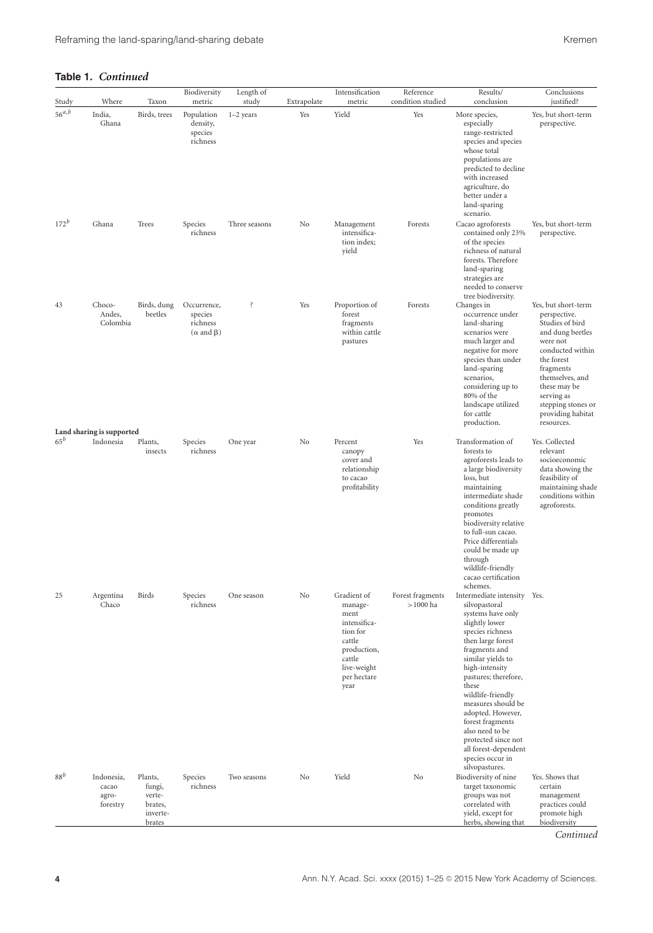| Study      | Where                                                     | Taxon                                                        | Biodiversity<br>metric                                              | Length of<br>study | Extrapolate | Intensification<br>metric                                                                                                           | Reference<br>condition studied | Results/<br>conclusion                                                                                                                                                                                                                                                                                                                                                                                                   | Conclusions<br>justified?                                                                                                                                                                                                                       |
|------------|-----------------------------------------------------------|--------------------------------------------------------------|---------------------------------------------------------------------|--------------------|-------------|-------------------------------------------------------------------------------------------------------------------------------------|--------------------------------|--------------------------------------------------------------------------------------------------------------------------------------------------------------------------------------------------------------------------------------------------------------------------------------------------------------------------------------------------------------------------------------------------------------------------|-------------------------------------------------------------------------------------------------------------------------------------------------------------------------------------------------------------------------------------------------|
| $56^{a,b}$ | India,<br>Ghana                                           | Birds, trees                                                 | Population<br>density,<br>species<br>richness                       | $1-2$ years        | Yes         | Yield                                                                                                                               | Yes                            | More species,<br>especially<br>range-restricted<br>species and species<br>whose total<br>populations are<br>predicted to decline<br>with increased<br>agriculture, do<br>better under a<br>land-sparing<br>scenario.                                                                                                                                                                                                     | Yes, but short-term<br>perspective.                                                                                                                                                                                                             |
| $172^{b}$  | Ghana                                                     | Trees                                                        | Species<br>richness                                                 | Three seasons      | No          | Management<br>intensifica-<br>tion index;<br>yield                                                                                  | Forests                        | Cacao agroforests<br>contained only 23%<br>of the species<br>richness of natural<br>forests. Therefore<br>land-sparing<br>strategies are<br>needed to conserve                                                                                                                                                                                                                                                           | Yes, but short-term<br>perspective.                                                                                                                                                                                                             |
| 43         | Choco-<br>Andes,<br>Colombia<br>Land sharing is supported | Birds, dung<br>beetles                                       | Occurrence,<br>species<br>richness<br>$(\alpha \text{ and } \beta)$ | ŝ                  | Yes         | Proportion of<br>forest<br>fragments<br>within cattle<br>pastures                                                                   | Forests                        | tree biodiversity.<br>Changes in<br>occurrence under<br>land-sharing<br>scenarios were<br>much larger and<br>negative for more<br>species than under<br>land-sparing<br>scenarios,<br>considering up to<br>80% of the<br>landscape utilized<br>for cattle<br>production.                                                                                                                                                 | Yes, but short-term<br>perspective.<br>Studies of bird<br>and dung beetles<br>were not<br>conducted within<br>the forest<br>fragments<br>themselves, and<br>these may be<br>serving as<br>stepping stones or<br>providing habitat<br>resources. |
| $65^b$     | Indonesia                                                 | Plants,<br>insects                                           | Species<br>richness                                                 | One year           | No          | Percent<br>canopy<br>cover and<br>relationship<br>to cacao<br>profitability                                                         | Yes                            | Transformation of<br>forests to<br>agroforests leads to<br>a large biodiversity<br>loss, but<br>maintaining<br>intermediate shade<br>conditions greatly<br>promotes<br>biodiversity relative<br>to full-sun cacao.<br>Price differentials<br>could be made up<br>through<br>wildlife-friendly<br>cacao certification                                                                                                     | Yes. Collected<br>relevant<br>socioeconomic<br>data showing the<br>feasibility of<br>maintaining shade<br>conditions within<br>agroforests.                                                                                                     |
| 25         | Argentina<br>Chaco                                        | Birds                                                        | Species<br>richness                                                 | One season         | No          | Gradient of<br>manage-<br>ment<br>intensifica-<br>tion for<br>cattle<br>production,<br>cattle<br>live-weight<br>per hectare<br>year | Forest fragments<br>$>1000$ ha | schemes.<br>Intermediate intensity<br>silvopastoral<br>systems have only<br>slightly lower<br>species richness<br>then large forest<br>fragments and<br>similar yields to<br>high-intensity<br>pastures; therefore,<br>these<br>wildlife-friendly<br>measures should be<br>adopted. However,<br>forest fragments<br>also need to be<br>protected since not<br>all forest-dependent<br>species occur in<br>silvopastures. | Yes.                                                                                                                                                                                                                                            |
| $88^b$     | Indonesia,<br>cacao<br>agro-<br>forestry                  | Plants,<br>fungi,<br>verte-<br>brates,<br>inverte-<br>brates | Species<br>richness                                                 | Two seasons        | No          | Yield                                                                                                                               | No                             | Biodiversity of nine<br>target taxonomic<br>groups was not<br>correlated with<br>yield, except for<br>herbs, showing that                                                                                                                                                                                                                                                                                                | Yes. Shows that<br>certain<br>management<br>practices could<br>promote high<br>biodiversity                                                                                                                                                     |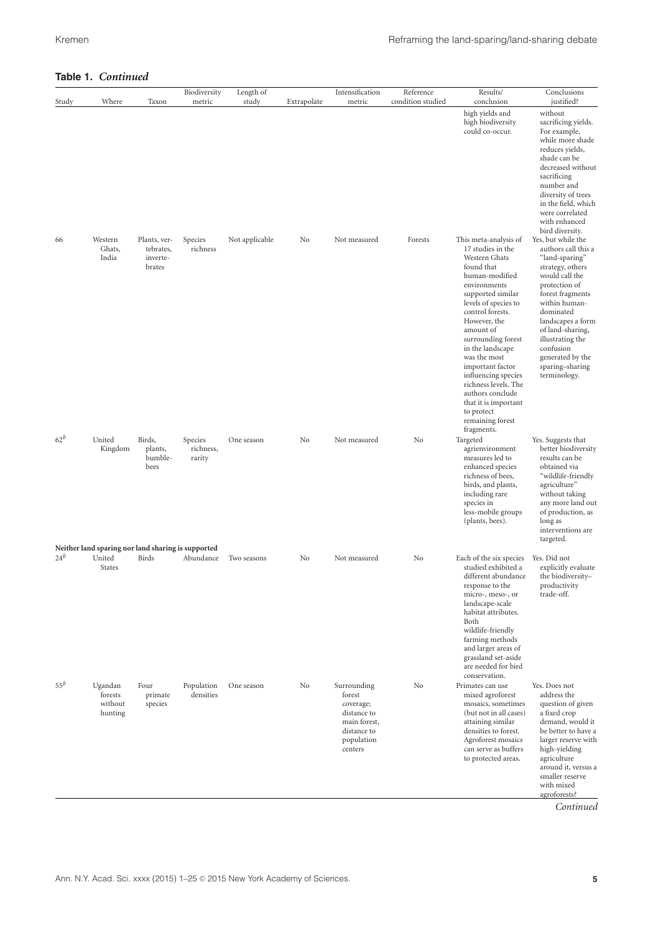| Study  | Where                                                                  | Taxon                                           | Biodiversity<br>metric         | Length of<br>study | Extrapolate | Intensification<br>metric                                                                                 | Reference<br>condition studied | Results/<br>conclusion                                                                                                                                                                                                                                                                                                                                                                                                                                                                        | Conclusions<br>justified?                                                                                                                                                                                                                                                                                                                                                                                                                                                                                                                                            |
|--------|------------------------------------------------------------------------|-------------------------------------------------|--------------------------------|--------------------|-------------|-----------------------------------------------------------------------------------------------------------|--------------------------------|-----------------------------------------------------------------------------------------------------------------------------------------------------------------------------------------------------------------------------------------------------------------------------------------------------------------------------------------------------------------------------------------------------------------------------------------------------------------------------------------------|----------------------------------------------------------------------------------------------------------------------------------------------------------------------------------------------------------------------------------------------------------------------------------------------------------------------------------------------------------------------------------------------------------------------------------------------------------------------------------------------------------------------------------------------------------------------|
| 66     | Western<br>Ghats,<br>India                                             | Plants, ver-<br>tebrates,<br>inverte-<br>brates | Species<br>richness            | Not applicable     | No          | Not measured                                                                                              | Forests                        | high yields and<br>high biodiversity<br>could co-occur.<br>This meta-analysis of<br>17 studies in the<br>Western Ghats<br>found that<br>human-modified<br>environments<br>supported similar<br>levels of species to<br>control forests.<br>However, the<br>amount of<br>surrounding forest<br>in the landscape<br>was the most<br>important factor<br>influencing species<br>richness levels. The<br>authors conclude<br>that it is important<br>to protect<br>remaining forest<br>fragments. | without<br>sacrificing yields.<br>For example,<br>while more shade<br>reduces yields,<br>shade can be<br>decreased without<br>sacrificing<br>number and<br>diversity of trees<br>in the field, which<br>were correlated<br>with enhanced<br>bird diversity.<br>Yes, but while the<br>authors call this a<br>"land-sparing"<br>strategy, others<br>would call the<br>protection of<br>forest fragments<br>within human-<br>dominated<br>landscapes a form<br>of land-sharing,<br>illustrating the<br>confusion<br>generated by the<br>sparing-sharing<br>terminology. |
| $62^b$ | United<br>Kingdom                                                      | Birds,<br>plants,<br>bumble-<br>bees            | Species<br>richness,<br>rarity | One season         | No          | Not measured                                                                                              | No                             | Targeted<br>agrienvironment<br>measures led to<br>enhanced species<br>richness of bees,<br>birds, and plants,<br>including rare<br>species in<br>less-mobile groups<br>(plants, bees).                                                                                                                                                                                                                                                                                                        | Yes. Suggests that<br>better biodiversity<br>results can be<br>obtained via<br>"wildlife-friendly<br>agriculture"<br>without taking<br>any more land out<br>of production, as<br>long as<br>interventions are<br>targeted.                                                                                                                                                                                                                                                                                                                                           |
| $24^b$ | Neither land sparing nor land sharing is supported<br>United<br>States | Birds                                           | Abundance                      | Two seasons        | No          | Not measured                                                                                              | No                             | Each of the six species<br>studied exhibited a<br>different abundance<br>response to the<br>micro-, meso-, or<br>landscape-scale<br>habitat attributes.<br>Both<br>wildlife-friendly<br>farming methods<br>and larger areas of<br>grassland set-aside<br>are needed for bird<br>conservation.                                                                                                                                                                                                 | Yes. Did not<br>explicitly evaluate<br>the biodiversity-<br>productivity<br>trade-off.                                                                                                                                                                                                                                                                                                                                                                                                                                                                               |
| $55^b$ | Ugandan<br>forests<br>without<br>hunting                               | Four<br>primate<br>species                      | Population<br>densities        | One season         | No          | Surrounding<br>forest<br>coverage;<br>distance to<br>main forest,<br>distance to<br>population<br>centers | No                             | Primates can use<br>mixed agroforest<br>mosaics, sometimes<br>(but not in all cases)<br>attaining similar<br>densities to forest.<br>Agroforest mosaics<br>can serve as buffers<br>to protected areas.                                                                                                                                                                                                                                                                                        | Yes. Does not<br>address the<br>question of given<br>a fixed crop<br>demand, would it<br>be better to have a<br>larger reserve with<br>high-yielding<br>agriculture<br>around it, versus a<br>smaller reserve<br>with mixed<br>agroforests?<br>Continued                                                                                                                                                                                                                                                                                                             |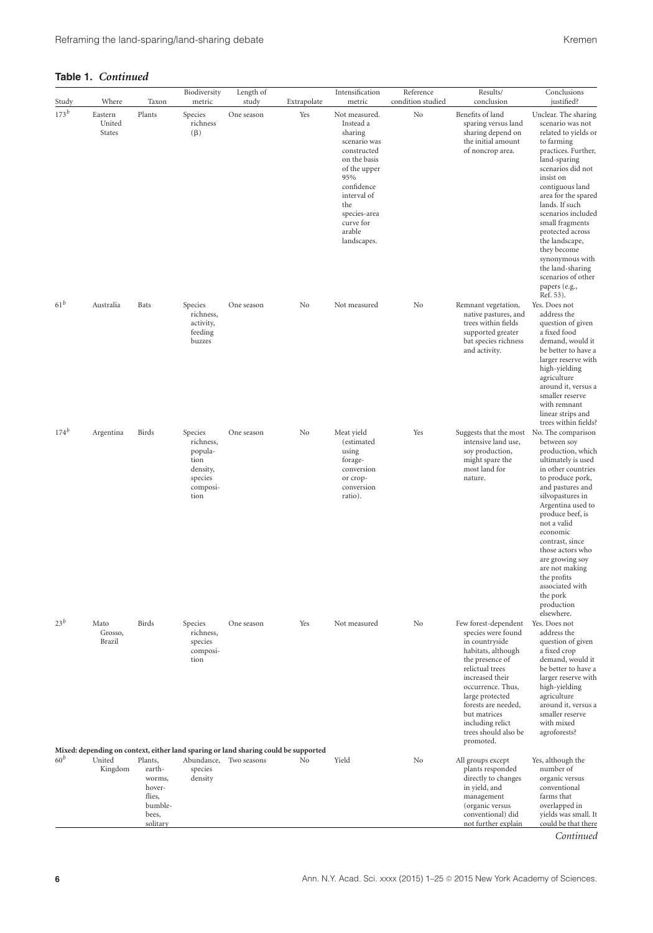| Study           | Where                              | Taxon                                                                           | Biodiversity<br>metric                                                             | Length of<br>study                                                                                            | Extrapolate | Intensification<br>metric                                                                                                                                                                             | Reference<br>condition studied | Results/<br>conclusion                                                                                                                                                                                                                                                              | Conclusions<br>justified?                                                                                                                                                                                                                                                                                                                                                                                    |
|-----------------|------------------------------------|---------------------------------------------------------------------------------|------------------------------------------------------------------------------------|---------------------------------------------------------------------------------------------------------------|-------------|-------------------------------------------------------------------------------------------------------------------------------------------------------------------------------------------------------|--------------------------------|-------------------------------------------------------------------------------------------------------------------------------------------------------------------------------------------------------------------------------------------------------------------------------------|--------------------------------------------------------------------------------------------------------------------------------------------------------------------------------------------------------------------------------------------------------------------------------------------------------------------------------------------------------------------------------------------------------------|
| $173^b$         | Eastern<br>United<br><b>States</b> | Plants                                                                          | Species<br>richness<br>$(\beta)$                                                   | One season                                                                                                    | Yes         | Not measured.<br>Instead a<br>sharing<br>scenario was<br>constructed<br>on the basis<br>of the upper<br>95%<br>confidence<br>interval of<br>the<br>species-area<br>curve for<br>arable<br>landscapes. | No                             | Benefits of land<br>sparing versus land<br>sharing depend on<br>the initial amount<br>of noncrop area.                                                                                                                                                                              | Unclear. The sharing<br>scenario was not<br>related to yields or<br>to farming<br>practices. Further,<br>land-sparing<br>scenarios did not<br>insist on<br>contiguous land<br>area for the spared<br>lands. If such<br>scenarios included<br>small fragments<br>protected across<br>the landscape,<br>they become<br>synonymous with<br>the land-sharing<br>scenarios of other<br>papers (e.g.,<br>Ref. 53). |
| 61 <sup>b</sup> | Australia                          | <b>Bats</b>                                                                     | Species<br>richness,<br>activity,<br>feeding<br>buzzes                             | One season                                                                                                    | No          | Not measured                                                                                                                                                                                          | No                             | Remnant vegetation,<br>native pastures, and<br>trees within fields<br>supported greater<br>bat species richness<br>and activity.                                                                                                                                                    | Yes. Does not<br>address the<br>question of given<br>a fixed food<br>demand, would it<br>be better to have a<br>larger reserve with<br>high-yielding<br>agriculture<br>around it, versus a<br>smaller reserve<br>with remnant<br>linear strips and<br>trees within fields?                                                                                                                                   |
| $174^b$         | Argentina                          | Birds                                                                           | Species<br>richness,<br>popula-<br>tion<br>density,<br>species<br>composi-<br>tion | One season                                                                                                    | No          | Meat yield<br>(estimated<br>using<br>forage-<br>conversion<br>or crop-<br>conversion<br>ratio).                                                                                                       | Yes                            | Suggests that the most<br>intensive land use.<br>soy production,<br>might spare the<br>most land for<br>nature.                                                                                                                                                                     | No. The comparison<br>between soy<br>production, which<br>ultimately is used<br>in other countries<br>to produce pork,<br>and pastures and<br>silvopastures in<br>Argentina used to<br>produce beef, is<br>not a valid<br>economic<br>contrast, since<br>those actors who<br>are growing soy<br>are not making<br>the profits<br>associated with<br>the pork<br>production                                   |
| $23^b$          | Mato<br>Grosso,<br>Brazil          | Birds                                                                           | Species<br>richness,<br>species<br>composi-<br>tion                                | One season                                                                                                    | Yes         | Not measured                                                                                                                                                                                          | No                             | Few forest-dependent<br>species were found<br>in countryside<br>habitats, although<br>the presence of<br>relictual trees<br>increased their<br>occurrence. Thus,<br>large protected<br>forests are needed,<br>but matrices<br>including relict<br>trees should also be<br>promoted. | elsewhere.<br>Yes. Does not<br>address the<br>question of given<br>a fixed crop<br>demand, would it<br>be better to have a<br>larger reserve with<br>high-yielding<br>agriculture<br>around it, versus a<br>smaller reserve<br>with mixed<br>agroforests?                                                                                                                                                    |
| $60^b$          | United<br>Kingdom                  | Plants,<br>earth-<br>worms,<br>hover-<br>flies,<br>bumble-<br>bees,<br>solitary | species<br>density                                                                 | Mixed: depending on context, either land sparing or land sharing could be supported<br>Abundance, Two seasons | No          | Yield                                                                                                                                                                                                 | No                             | All groups except<br>plants responded<br>directly to changes<br>in yield, and<br>management<br>(organic versus<br>conventional) did<br>not further explain                                                                                                                          | Yes, although the<br>number of<br>organic versus<br>conventional<br>farms that<br>overlapped in<br>yields was small. It<br>could be that there                                                                                                                                                                                                                                                               |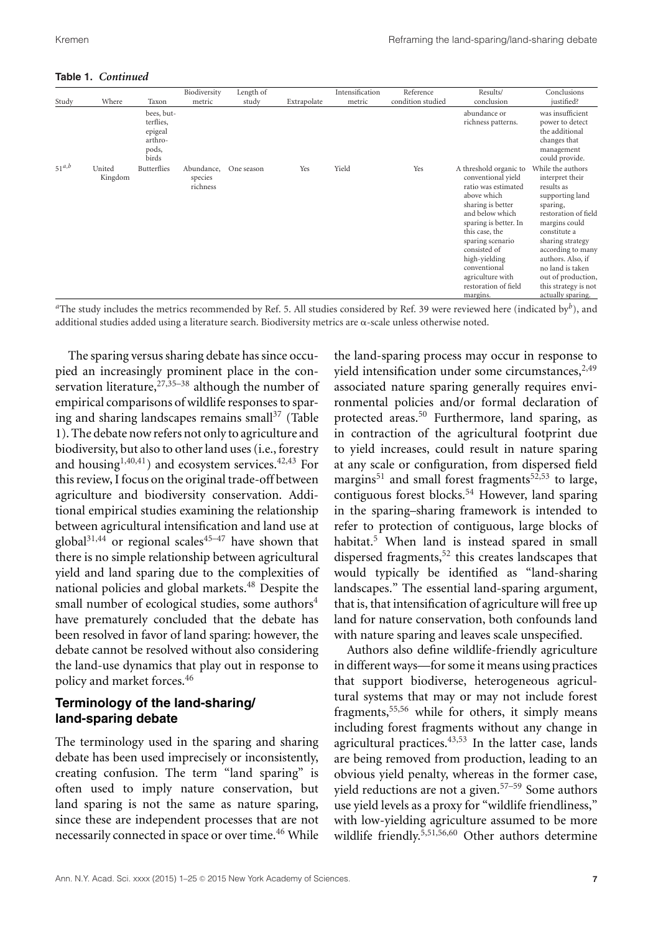| Study      | Where             | Taxon                                                           | Biodiversity<br>metric            | Length of<br>study | Extrapolate | Intensification<br>metric | Reference<br>condition studied | Results/<br>conclusion                                                                                                                                                                                                                                                                             | Conclusions<br>justified?                                                                                                                                                                                                                                                                       |
|------------|-------------------|-----------------------------------------------------------------|-----------------------------------|--------------------|-------------|---------------------------|--------------------------------|----------------------------------------------------------------------------------------------------------------------------------------------------------------------------------------------------------------------------------------------------------------------------------------------------|-------------------------------------------------------------------------------------------------------------------------------------------------------------------------------------------------------------------------------------------------------------------------------------------------|
|            |                   | bees, but-<br>terflies,<br>epigeal<br>arthro-<br>pods,<br>birds |                                   |                    |             |                           |                                | abundance or<br>richness patterns.                                                                                                                                                                                                                                                                 | was insufficient<br>power to detect<br>the additional<br>changes that<br>management<br>could provide.                                                                                                                                                                                           |
| $51^{a,b}$ | United<br>Kingdom | Butterflies                                                     | Abundance,<br>species<br>richness | One season         | Yes         | Yield                     | Yes                            | A threshold organic to<br>conventional yield<br>ratio was estimated<br>above which<br>sharing is better<br>and below which<br>sparing is better. In<br>this case, the<br>sparing scenario<br>consisted of<br>high-yielding<br>conventional<br>agriculture with<br>restoration of field<br>margins. | While the authors<br>interpret their<br>results as<br>supporting land<br>sparing,<br>restoration of field<br>margins could<br>constitute a<br>sharing strategy<br>according to many<br>authors. Also, if<br>no land is taken<br>out of production,<br>this strategy is not<br>actually sparing. |

*<sup>a</sup>*The study includes the metrics recommended by Ref. 5. All studies considered by Ref. 39 were reviewed here (indicated by*b*), and additional studies added using a literature search. Biodiversity metrics are  $\alpha$ -scale unless otherwise noted.

The sparing versus sharing debate has since occupied an increasingly prominent place in the conservation literature,  $27,35-38$  although the number of empirical comparisons of wildlife responses to sparing and sharing landscapes remains small $37$  (Table 1). The debate now refers not only to agriculture and biodiversity, but also to other land uses (i.e., forestry and housing<sup>1,40,41</sup>) and ecosystem services.<sup>42,43</sup> For this review, I focus on the original trade-off between agriculture and biodiversity conservation. Additional empirical studies examining the relationship between agricultural intensification and land use at global<sup>31,44</sup> or regional scales<sup>45-47</sup> have shown that there is no simple relationship between agricultural yield and land sparing due to the complexities of national policies and global markets.<sup>48</sup> Despite the small number of ecological studies, some authors $4$ have prematurely concluded that the debate has been resolved in favor of land sparing: however, the debate cannot be resolved without also considering the land-use dynamics that play out in response to policy and market forces.<sup>46</sup>

# **Terminology of the land-sharing/ land-sparing debate**

The terminology used in the sparing and sharing debate has been used imprecisely or inconsistently, creating confusion. The term "land sparing" is often used to imply nature conservation, but land sparing is not the same as nature sparing, since these are independent processes that are not necessarily connected in space or over time.<sup>46</sup> While the land-sparing process may occur in response to yield intensification under some circumstances, $2,49$ associated nature sparing generally requires environmental policies and/or formal declaration of protected areas.<sup>50</sup> Furthermore, land sparing, as in contraction of the agricultural footprint due to yield increases, could result in nature sparing at any scale or configuration, from dispersed field margins<sup>51</sup> and small forest fragments<sup>52,53</sup> to large, contiguous forest blocks.<sup>54</sup> However, land sparing in the sparing–sharing framework is intended to refer to protection of contiguous, large blocks of habitat.<sup>5</sup> When land is instead spared in small dispersed fragments, $52$  this creates landscapes that would typically be identified as "land-sharing landscapes." The essential land-sparing argument, that is, that intensification of agriculture will free up land for nature conservation, both confounds land with nature sparing and leaves scale unspecified.

Authors also define wildlife-friendly agriculture in different ways—for some it means using practices that support biodiverse, heterogeneous agricultural systems that may or may not include forest fragments,<sup>55,56</sup> while for others, it simply means including forest fragments without any change in agricultural practices.<sup>43,53</sup> In the latter case, lands are being removed from production, leading to an obvious yield penalty, whereas in the former case, yield reductions are not a given.57–59 Some authors use yield levels as a proxy for "wildlife friendliness," with low-yielding agriculture assumed to be more wildlife friendly.<sup>5,51,56,60</sup> Other authors determine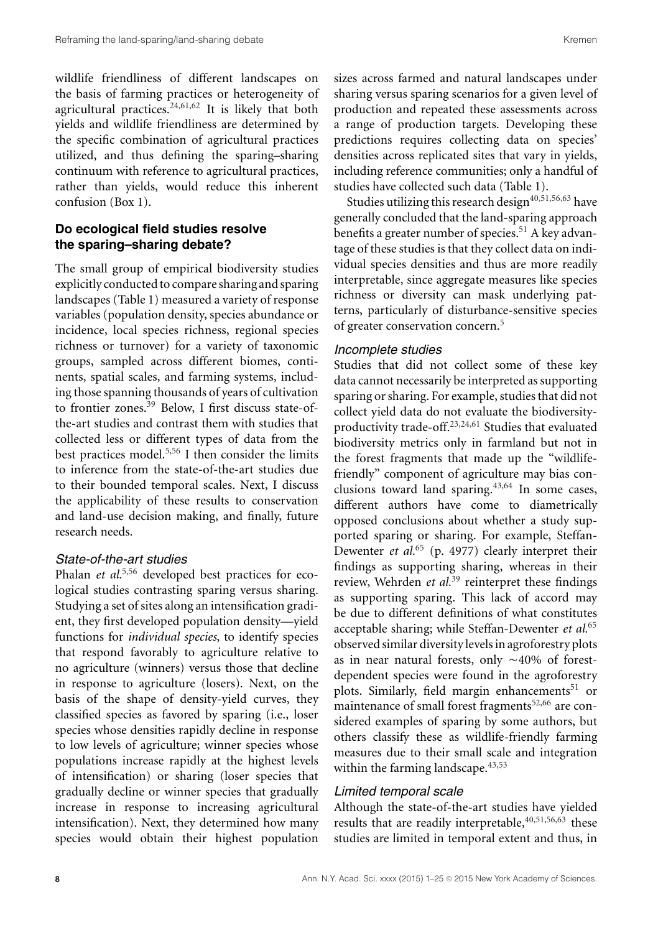wildlife friendliness of different landscapes on the basis of farming practices or heterogeneity of agricultural practices.<sup>24,61,62</sup> It is likely that both yields and wildlife friendliness are determined by the specific combination of agricultural practices utilized, and thus defining the sparing–sharing continuum with reference to agricultural practices, rather than yields, would reduce this inherent confusion (Box 1).

# **Do ecological field studies resolve the sparing–sharing debate?**

The small group of empirical biodiversity studies explicitly conducted to compare sharing and sparing landscapes (Table 1) measured a variety of response variables (population density, species abundance or incidence, local species richness, regional species richness or turnover) for a variety of taxonomic groups, sampled across different biomes, continents, spatial scales, and farming systems, including those spanning thousands of years of cultivation to frontier zones.<sup>39</sup> Below, I first discuss state-ofthe-art studies and contrast them with studies that collected less or different types of data from the best practices model.5,56 I then consider the limits to inference from the state-of-the-art studies due to their bounded temporal scales. Next, I discuss the applicability of these results to conservation and land-use decision making, and finally, future research needs.

# *State-of-the-art studies*

Phalan *et al.*<sup>5,56</sup> developed best practices for ecological studies contrasting sparing versus sharing. Studying a set of sites along an intensification gradient, they first developed population density—yield functions for *individual species*, to identify species that respond favorably to agriculture relative to no agriculture (winners) versus those that decline in response to agriculture (losers). Next, on the basis of the shape of density-yield curves, they classified species as favored by sparing (i.e., loser species whose densities rapidly decline in response to low levels of agriculture; winner species whose populations increase rapidly at the highest levels of intensification) or sharing (loser species that gradually decline or winner species that gradually increase in response to increasing agricultural intensification). Next, they determined how many species would obtain their highest population sizes across farmed and natural landscapes under sharing versus sparing scenarios for a given level of production and repeated these assessments across a range of production targets. Developing these predictions requires collecting data on species' densities across replicated sites that vary in yields, including reference communities; only a handful of studies have collected such data (Table 1).

Studies utilizing this research design $40,51,56,63$  have generally concluded that the land-sparing approach benefits a greater number of species.<sup>51</sup> A key advantage of these studies is that they collect data on individual species densities and thus are more readily interpretable, since aggregate measures like species richness or diversity can mask underlying patterns, particularly of disturbance-sensitive species of greater conservation concern.<sup>5</sup>

#### *Incomplete studies*

Studies that did not collect some of these key data cannot necessarily be interpreted as supporting sparing or sharing. For example, studies that did not collect yield data do not evaluate the biodiversityproductivity trade-off.23,24,61 Studies that evaluated biodiversity metrics only in farmland but not in the forest fragments that made up the "wildlifefriendly" component of agriculture may bias conclusions toward land sparing. $43,64$  In some cases, different authors have come to diametrically opposed conclusions about whether a study supported sparing or sharing. For example, Steffan-Dewenter *et al.*<sup>65</sup> (p. 4977) clearly interpret their findings as supporting sharing, whereas in their review, Wehrden *et al.*<sup>39</sup> reinterpret these findings as supporting sparing. This lack of accord may be due to different definitions of what constitutes acceptable sharing; while Steffan-Dewenter *et al.*<sup>65</sup> observed similar diversity levels in agroforestry plots as in near natural forests, only  $\sim$  40% of forestdependent species were found in the agroforestry plots. Similarly, field margin enhancements<sup>51</sup> or maintenance of small forest fragments<sup>52,66</sup> are considered examples of sparing by some authors, but others classify these as wildlife-friendly farming measures due to their small scale and integration within the farming landscape.<sup>43,53</sup>

# *Limited temporal scale*

Although the state-of-the-art studies have yielded results that are readily interpretable,  $40,51,56,63$  these studies are limited in temporal extent and thus, in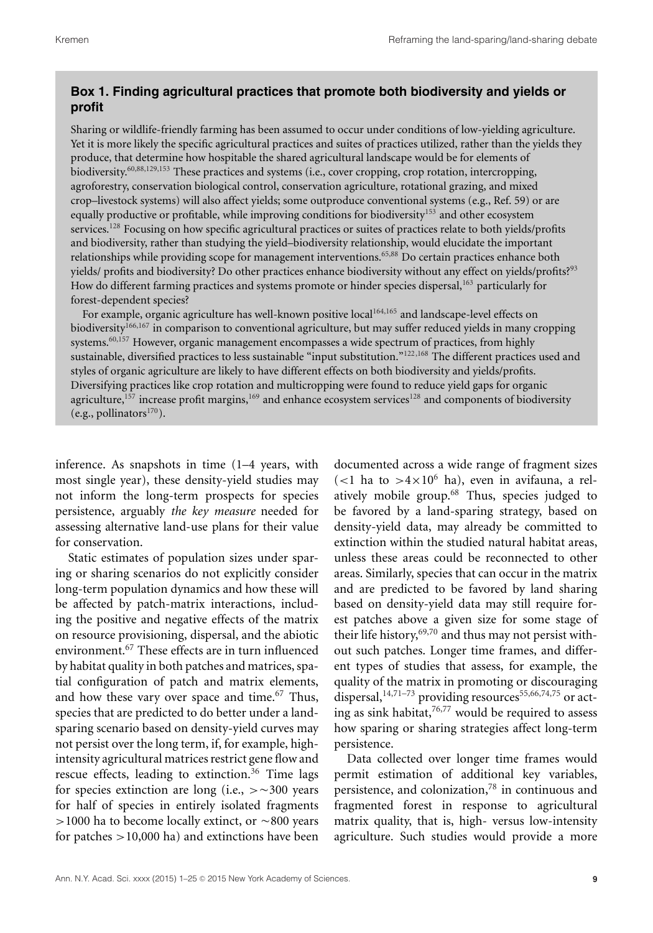# **Box 1. Finding agricultural practices that promote both biodiversity and yields or profit**

Sharing or wildlife-friendly farming has been assumed to occur under conditions of low-yielding agriculture. Yet it is more likely the specific agricultural practices and suites of practices utilized, rather than the yields they produce, that determine how hospitable the shared agricultural landscape would be for elements of biodiversity.<sup>60,88,129,153</sup> These practices and systems (i.e., cover cropping, crop rotation, intercropping, agroforestry, conservation biological control, conservation agriculture, rotational grazing, and mixed crop–livestock systems) will also affect yields; some outproduce conventional systems (e.g., Ref. 59) or are equally productive or profitable, while improving conditions for biodiversity<sup>153</sup> and other ecosystem services.<sup>128</sup> Focusing on how specific agricultural practices or suites of practices relate to both yields/profits and biodiversity, rather than studying the yield–biodiversity relationship, would elucidate the important relationships while providing scope for management interventions.65,88 Do certain practices enhance both yields/ profits and biodiversity? Do other practices enhance biodiversity without any effect on yields/profits?<sup>93</sup> How do different farming practices and systems promote or hinder species dispersal,<sup>163</sup> particularly for forest-dependent species?

For example, organic agriculture has well-known positive local<sup>164,165</sup> and landscape-level effects on biodiversity<sup>166,167</sup> in comparison to conventional agriculture, but may suffer reduced yields in many cropping systems.<sup>60,157</sup> However, organic management encompasses a wide spectrum of practices, from highly sustainable, diversified practices to less sustainable "input substitution."122,168 The different practices used and styles of organic agriculture are likely to have different effects on both biodiversity and yields/profits. Diversifying practices like crop rotation and multicropping were found to reduce yield gaps for organic agriculture, $157$  increase profit margins, $169$  and enhance ecosystem services $128$  and components of biodiversity (e.g., pollinators $170$ ).

inference. As snapshots in time (1–4 years, with most single year), these density-yield studies may not inform the long-term prospects for species persistence, arguably *the key measure* needed for assessing alternative land-use plans for their value for conservation.

Static estimates of population sizes under sparing or sharing scenarios do not explicitly consider long-term population dynamics and how these will be affected by patch-matrix interactions, including the positive and negative effects of the matrix on resource provisioning, dispersal, and the abiotic environment.<sup>67</sup> These effects are in turn influenced by habitat quality in both patches and matrices, spatial configuration of patch and matrix elements, and how these vary over space and time.<sup>67</sup> Thus, species that are predicted to do better under a landsparing scenario based on density-yield curves may not persist over the long term, if, for example, highintensity agricultural matrices restrict gene flow and rescue effects, leading to extinction.<sup>36</sup> Time lags for species extinction are long (i.e.,  $> \sim 300$  years for half of species in entirely isolated fragments  $>$  1000 ha to become locally extinct, or  $\sim$  800 years for patches >10,000 ha) and extinctions have been

documented across a wide range of fragment sizes  $(<1$  ha to >4×10<sup>6</sup> ha), even in avifauna, a relatively mobile group.<sup>68</sup> Thus, species judged to be favored by a land-sparing strategy, based on density-yield data, may already be committed to extinction within the studied natural habitat areas, unless these areas could be reconnected to other areas. Similarly, species that can occur in the matrix and are predicted to be favored by land sharing based on density-yield data may still require forest patches above a given size for some stage of their life history,  $69,70$  and thus may not persist without such patches. Longer time frames, and different types of studies that assess, for example, the quality of the matrix in promoting or discouraging dispersal, $14,71-73$  providing resources<sup>55,66,74,75</sup> or acting as sink habitat,  $76,77$  would be required to assess how sparing or sharing strategies affect long-term persistence.

Data collected over longer time frames would permit estimation of additional key variables, persistence, and colonization,78 in continuous and fragmented forest in response to agricultural matrix quality, that is, high- versus low-intensity agriculture. Such studies would provide a more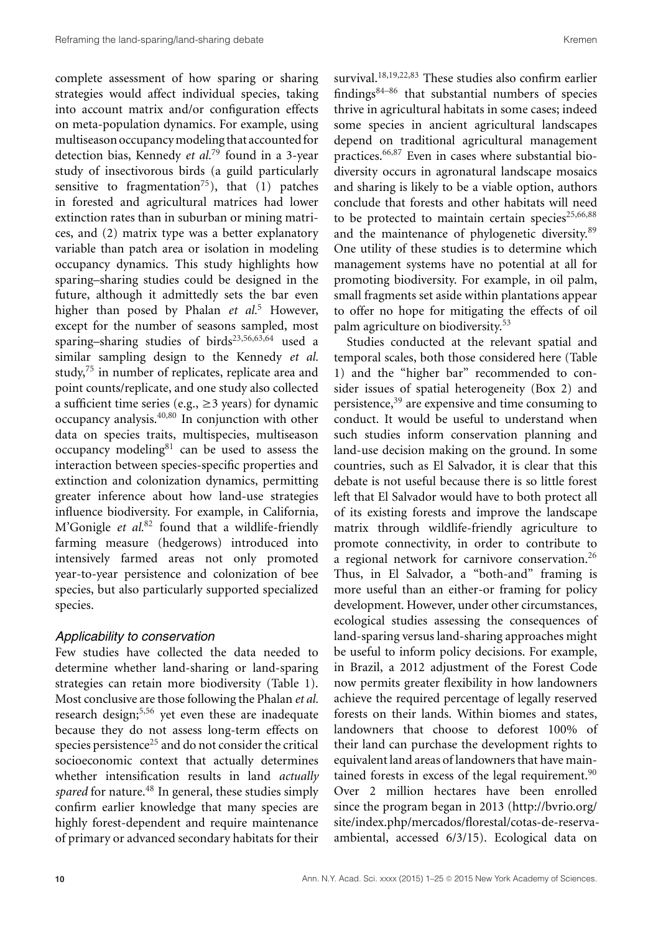complete assessment of how sparing or sharing strategies would affect individual species, taking into account matrix and/or configuration effects on meta-population dynamics. For example, using multiseason occupancy modeling that accounted for detection bias, Kennedy *et al.*<sup>79</sup> found in a 3-year study of insectivorous birds (a guild particularly sensitive to fragmentation<sup>75</sup>), that  $(1)$  patches in forested and agricultural matrices had lower extinction rates than in suburban or mining matrices, and (2) matrix type was a better explanatory variable than patch area or isolation in modeling occupancy dynamics. This study highlights how sparing–sharing studies could be designed in the future, although it admittedly sets the bar even higher than posed by Phalan *et al.*<sup>5</sup> However, except for the number of seasons sampled, most sparing–sharing studies of birds<sup>23,56,63,64</sup> used a similar sampling design to the Kennedy *et al.* study, $75$  in number of replicates, replicate area and point counts/replicate, and one study also collected a sufficient time series (e.g.,  $\geq$  3 years) for dynamic occupancy analysis.40,80 In conjunction with other data on species traits, multispecies, multiseason occupancy modeling $81$  can be used to assess the interaction between species-specific properties and extinction and colonization dynamics, permitting greater inference about how land-use strategies influence biodiversity. For example, in California, M'Gonigle *et al.*<sup>82</sup> found that a wildlife-friendly farming measure (hedgerows) introduced into intensively farmed areas not only promoted year-to-year persistence and colonization of bee species, but also particularly supported specialized species.

#### *Applicability to conservation*

Few studies have collected the data needed to determine whether land-sharing or land-sparing strategies can retain more biodiversity (Table 1). Most conclusive are those following the Phalan *et al.* research design;<sup>5,56</sup> yet even these are inadequate because they do not assess long-term effects on species persistence<sup>25</sup> and do not consider the critical socioeconomic context that actually determines whether intensification results in land *actually spared* for nature.<sup>48</sup> In general, these studies simply confirm earlier knowledge that many species are highly forest-dependent and require maintenance of primary or advanced secondary habitats for their

survival.<sup>18,19,22,83</sup> These studies also confirm earlier findings $84-86$  that substantial numbers of species thrive in agricultural habitats in some cases; indeed some species in ancient agricultural landscapes depend on traditional agricultural management practices.66,87 Even in cases where substantial biodiversity occurs in agronatural landscape mosaics and sharing is likely to be a viable option, authors conclude that forests and other habitats will need to be protected to maintain certain species $25,66,88$ and the maintenance of phylogenetic diversity.<sup>89</sup> One utility of these studies is to determine which management systems have no potential at all for promoting biodiversity. For example, in oil palm, small fragments set aside within plantations appear to offer no hope for mitigating the effects of oil palm agriculture on biodiversity.<sup>53</sup>

Studies conducted at the relevant spatial and temporal scales, both those considered here (Table 1) and the "higher bar" recommended to consider issues of spatial heterogeneity (Box 2) and persistence,<sup>39</sup> are expensive and time consuming to conduct. It would be useful to understand when such studies inform conservation planning and land-use decision making on the ground. In some countries, such as El Salvador, it is clear that this debate is not useful because there is so little forest left that El Salvador would have to both protect all of its existing forests and improve the landscape matrix through wildlife-friendly agriculture to promote connectivity, in order to contribute to a regional network for carnivore conservation.26 Thus, in El Salvador, a "both-and" framing is more useful than an either-or framing for policy development. However, under other circumstances, ecological studies assessing the consequences of land-sparing versus land-sharing approaches might be useful to inform policy decisions. For example, in Brazil, a 2012 adjustment of the Forest Code now permits greater flexibility in how landowners achieve the required percentage of legally reserved forests on their lands. Within biomes and states, landowners that choose to deforest 100% of their land can purchase the development rights to equivalent land areas of landowners that have maintained forests in excess of the legal requirement. $90$ Over 2 million hectares have been enrolled since the program began in 2013 [\(http://bvrio.org/](http://bvrio.org/site/index.php/mercados/florestal/cotas-de-reserva-ambiental) [site/index.php/mercados/florestal/cotas-de-reserva](http://bvrio.org/site/index.php/mercados/florestal/cotas-de-reserva-ambiental)[ambiental,](http://bvrio.org/site/index.php/mercados/florestal/cotas-de-reserva-ambiental) accessed 6/3/15). Ecological data on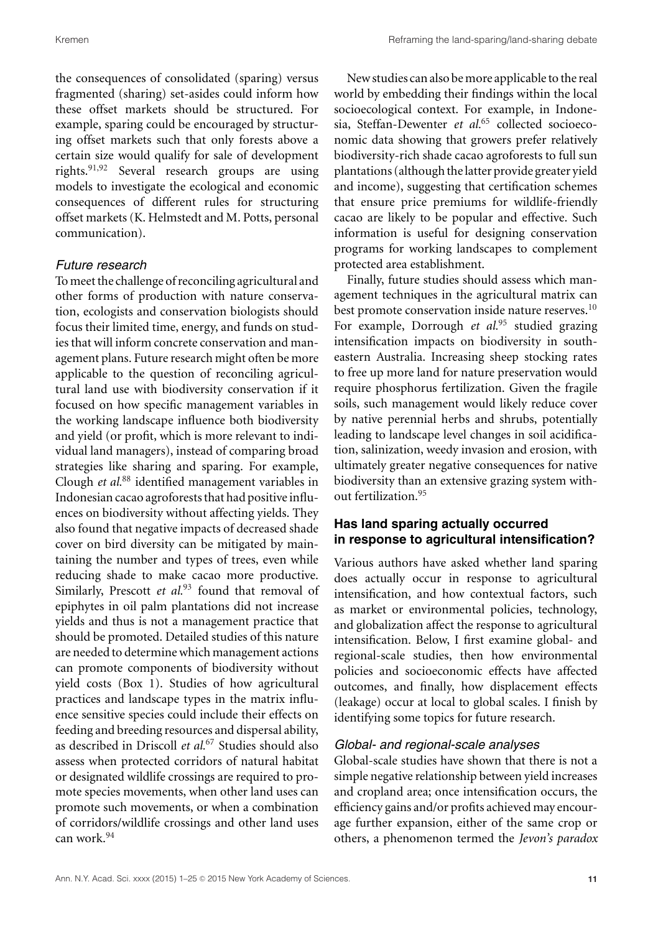the consequences of consolidated (sparing) versus fragmented (sharing) set-asides could inform how these offset markets should be structured. For example, sparing could be encouraged by structuring offset markets such that only forests above a certain size would qualify for sale of development rights.91,92 Several research groups are using models to investigate the ecological and economic consequences of different rules for structuring offset markets (K. Helmstedt and M. Potts, personal communication).

# *Future research*

To meet the challenge of reconciling agricultural and other forms of production with nature conservation, ecologists and conservation biologists should focus their limited time, energy, and funds on studies that will inform concrete conservation and management plans. Future research might often be more applicable to the question of reconciling agricultural land use with biodiversity conservation if it focused on how specific management variables in the working landscape influence both biodiversity and yield (or profit, which is more relevant to individual land managers), instead of comparing broad strategies like sharing and sparing. For example, Clough *et al.*<sup>88</sup> identified management variables in Indonesian cacao agroforests that had positive influences on biodiversity without affecting yields. They also found that negative impacts of decreased shade cover on bird diversity can be mitigated by maintaining the number and types of trees, even while reducing shade to make cacao more productive. Similarly, Prescott et al.<sup>93</sup> found that removal of epiphytes in oil palm plantations did not increase yields and thus is not a management practice that should be promoted. Detailed studies of this nature are needed to determine which management actions can promote components of biodiversity without yield costs (Box 1). Studies of how agricultural practices and landscape types in the matrix influence sensitive species could include their effects on feeding and breeding resources and dispersal ability, as described in Driscoll *et al.*<sup>67</sup> Studies should also assess when protected corridors of natural habitat or designated wildlife crossings are required to promote species movements, when other land uses can promote such movements, or when a combination of corridors/wildlife crossings and other land uses can work.<sup>94</sup>

New studies can also bemore applicable to the real world by embedding their findings within the local socioecological context. For example, in Indonesia, Steffan-Dewenter *et al.*<sup>65</sup> collected socioeconomic data showing that growers prefer relatively biodiversity-rich shade cacao agroforests to full sun plantations (although the latter provide greater yield and income), suggesting that certification schemes that ensure price premiums for wildlife-friendly cacao are likely to be popular and effective. Such information is useful for designing conservation programs for working landscapes to complement protected area establishment.

Finally, future studies should assess which management techniques in the agricultural matrix can best promote conservation inside nature reserves.<sup>10</sup> For example, Dorrough *et al.*<sup>95</sup> studied grazing intensification impacts on biodiversity in southeastern Australia. Increasing sheep stocking rates to free up more land for nature preservation would require phosphorus fertilization. Given the fragile soils, such management would likely reduce cover by native perennial herbs and shrubs, potentially leading to landscape level changes in soil acidification, salinization, weedy invasion and erosion, with ultimately greater negative consequences for native biodiversity than an extensive grazing system without fertilization.<sup>95</sup>

# **Has land sparing actually occurred in response to agricultural intensification?**

Various authors have asked whether land sparing does actually occur in response to agricultural intensification, and how contextual factors, such as market or environmental policies, technology, and globalization affect the response to agricultural intensification. Below, I first examine global- and regional-scale studies, then how environmental policies and socioeconomic effects have affected outcomes, and finally, how displacement effects (leakage) occur at local to global scales. I finish by identifying some topics for future research.

## *Global- and regional-scale analyses*

Global-scale studies have shown that there is not a simple negative relationship between yield increases and cropland area; once intensification occurs, the efficiency gains and/or profits achieved may encourage further expansion, either of the same crop or others, a phenomenon termed the *Jevon's paradox*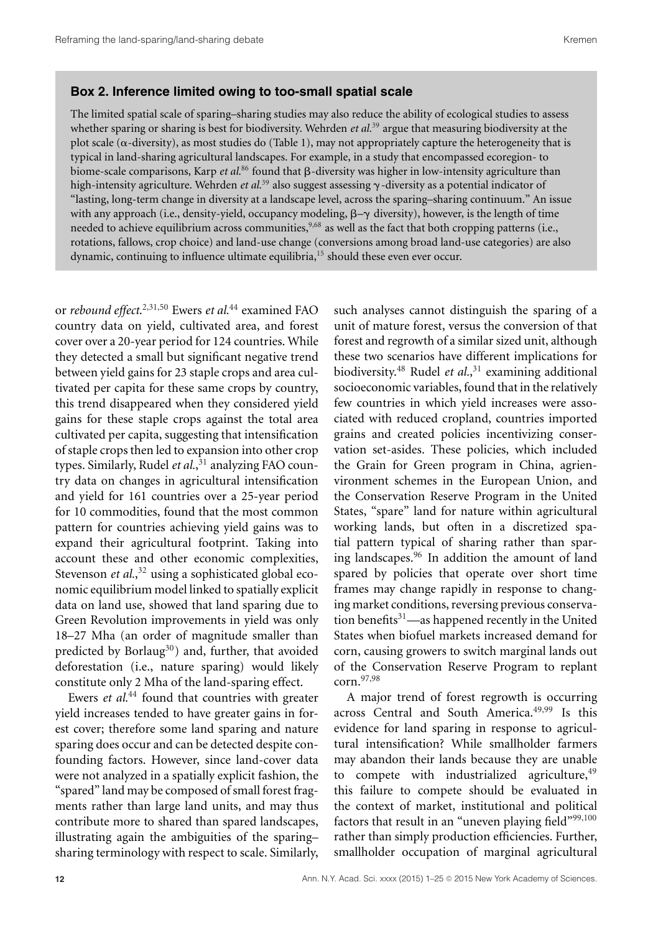#### **Box 2. Inference limited owing to too-small spatial scale**

The limited spatial scale of sparing–sharing studies may also reduce the ability of ecological studies to assess whether sparing or sharing is best for biodiversity. Wehrden *et al.*<sup>39</sup> argue that measuring biodiversity at the plot scale ( $\alpha$ -diversity), as most studies do (Table 1), may not appropriately capture the heterogeneity that is typical in land-sharing agricultural landscapes. For example, in a study that encompassed ecoregion- to biome-scale comparisons, Karp *et al.*<sup>86</sup> found that  $\beta$ -diversity was higher in low-intensity agriculture than high-intensity agriculture. Wehrden *et al.*<sup>39</sup> also suggest assessing  $\gamma$ -diversity as a potential indicator of "lasting, long-term change in diversity at a landscape level, across the sparing–sharing continuum." An issue with any approach (i.e., density-yield, occupancy modeling,  $\beta-\gamma$  diversity), however, is the length of time needed to achieve equilibrium across communities,  $9,68$  as well as the fact that both cropping patterns (i.e., rotations, fallows, crop choice) and land-use change (conversions among broad land-use categories) are also dynamic, continuing to influence ultimate equilibria,<sup>15</sup> should these even ever occur.

or *rebound effect*. 2,31,50 Ewers *et al.*<sup>44</sup> examined FAO country data on yield, cultivated area, and forest cover over a 20-year period for 124 countries. While they detected a small but significant negative trend between yield gains for 23 staple crops and area cultivated per capita for these same crops by country, this trend disappeared when they considered yield gains for these staple crops against the total area cultivated per capita, suggesting that intensification of staple crops then led to expansion into other crop types. Similarly, Rudel *et al.*, <sup>31</sup> analyzing FAO country data on changes in agricultural intensification and yield for 161 countries over a 25-year period for 10 commodities, found that the most common pattern for countries achieving yield gains was to expand their agricultural footprint. Taking into account these and other economic complexities, Stevenson et al.,<sup>32</sup> using a sophisticated global economic equilibrium model linked to spatially explicit data on land use, showed that land sparing due to Green Revolution improvements in yield was only 18–27 Mha (an order of magnitude smaller than predicted by Borlaug<sup>30</sup>) and, further, that avoided deforestation (i.e., nature sparing) would likely constitute only 2 Mha of the land-sparing effect.

Ewers *et al.*<sup>44</sup> found that countries with greater yield increases tended to have greater gains in forest cover; therefore some land sparing and nature sparing does occur and can be detected despite confounding factors. However, since land-cover data were not analyzed in a spatially explicit fashion, the "spared" land may be composed of small forest fragments rather than large land units, and may thus contribute more to shared than spared landscapes, illustrating again the ambiguities of the sparing– sharing terminology with respect to scale. Similarly, such analyses cannot distinguish the sparing of a unit of mature forest, versus the conversion of that forest and regrowth of a similar sized unit, although these two scenarios have different implications for biodiversity.<sup>48</sup> Rudel *et al.*, <sup>31</sup> examining additional socioeconomic variables, found that in the relatively few countries in which yield increases were associated with reduced cropland, countries imported grains and created policies incentivizing conservation set-asides. These policies, which included the Grain for Green program in China, agrienvironment schemes in the European Union, and the Conservation Reserve Program in the United States, "spare" land for nature within agricultural working lands, but often in a discretized spatial pattern typical of sharing rather than sparing landscapes.<sup>96</sup> In addition the amount of land spared by policies that operate over short time frames may change rapidly in response to changing market conditions, reversing previous conservation benefits $31$ —as happened recently in the United States when biofuel markets increased demand for corn, causing growers to switch marginal lands out of the Conservation Reserve Program to replant corn.97,98

A major trend of forest regrowth is occurring across Central and South America.<sup>49,99</sup> Is this evidence for land sparing in response to agricultural intensification? While smallholder farmers may abandon their lands because they are unable to compete with industrialized agriculture, $49$ this failure to compete should be evaluated in the context of market, institutional and political factors that result in an "uneven playing field"<sup>99,100</sup> rather than simply production efficiencies. Further, smallholder occupation of marginal agricultural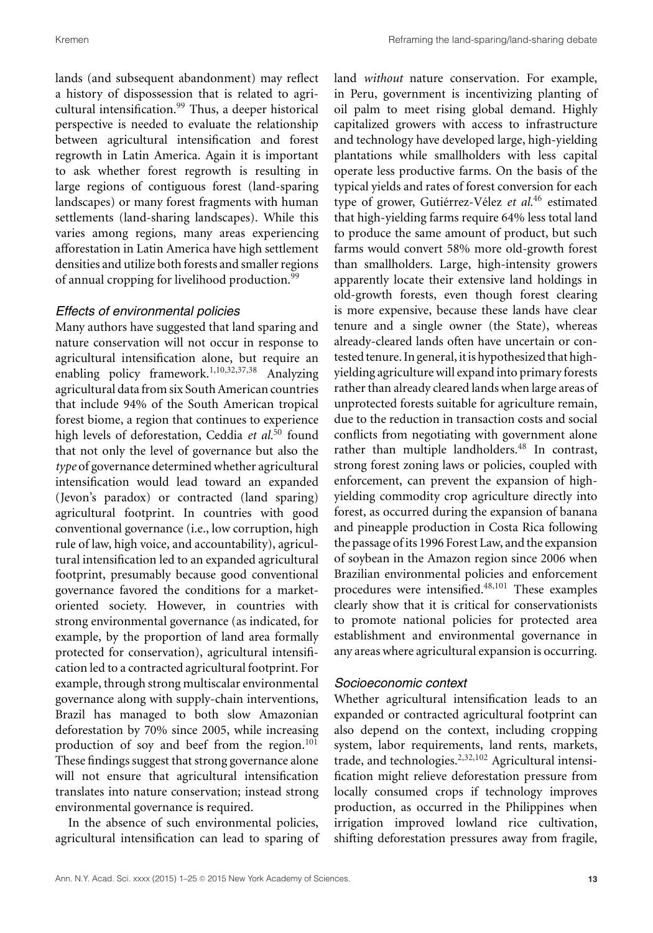lands (and subsequent abandonment) may reflect a history of dispossession that is related to agricultural intensification.<sup>99</sup> Thus, a deeper historical perspective is needed to evaluate the relationship between agricultural intensification and forest regrowth in Latin America. Again it is important to ask whether forest regrowth is resulting in large regions of contiguous forest (land-sparing landscapes) or many forest fragments with human settlements (land-sharing landscapes). While this varies among regions, many areas experiencing afforestation in Latin America have high settlement densities and utilize both forests and smaller regions of annual cropping for livelihood production.<sup>99</sup>

# *Effects of environmental policies*

Many authors have suggested that land sparing and nature conservation will not occur in response to agricultural intensification alone, but require an enabling policy framework.1,10,32,37,38 Analyzing agricultural data from six South American countries that include 94% of the South American tropical forest biome, a region that continues to experience high levels of deforestation, Ceddia et al.<sup>50</sup> found that not only the level of governance but also the *type* of governance determined whether agricultural intensification would lead toward an expanded (Jevon's paradox) or contracted (land sparing) agricultural footprint. In countries with good conventional governance (i.e., low corruption, high rule of law, high voice, and accountability), agricultural intensification led to an expanded agricultural footprint, presumably because good conventional governance favored the conditions for a marketoriented society. However, in countries with strong environmental governance (as indicated, for example, by the proportion of land area formally protected for conservation), agricultural intensification led to a contracted agricultural footprint. For example, through strong multiscalar environmental governance along with supply-chain interventions, Brazil has managed to both slow Amazonian deforestation by 70% since 2005, while increasing production of soy and beef from the region.<sup>101</sup> These findings suggest that strong governance alone will not ensure that agricultural intensification translates into nature conservation; instead strong environmental governance is required.

In the absence of such environmental policies, agricultural intensification can lead to sparing of land *without* nature conservation. For example, in Peru, government is incentivizing planting of oil palm to meet rising global demand. Highly capitalized growers with access to infrastructure and technology have developed large, high-yielding plantations while smallholders with less capital operate less productive farms. On the basis of the typical yields and rates of forest conversion for each type of grower, Gutiérrez-Vélez et al.<sup>46</sup> estimated that high-yielding farms require 64% less total land to produce the same amount of product, but such farms would convert 58% more old-growth forest than smallholders. Large, high-intensity growers apparently locate their extensive land holdings in old-growth forests, even though forest clearing is more expensive, because these lands have clear tenure and a single owner (the State), whereas already-cleared lands often have uncertain or contested tenure. In general, it is hypothesized that highyielding agriculture will expand into primary forests rather than already cleared lands when large areas of unprotected forests suitable for agriculture remain, due to the reduction in transaction costs and social conflicts from negotiating with government alone rather than multiple landholders.<sup>48</sup> In contrast, strong forest zoning laws or policies, coupled with enforcement, can prevent the expansion of highyielding commodity crop agriculture directly into forest, as occurred during the expansion of banana and pineapple production in Costa Rica following the passage of its 1996 Forest Law, and the expansion of soybean in the Amazon region since 2006 when Brazilian environmental policies and enforcement procedures were intensified.<sup>48,101</sup> These examples clearly show that it is critical for conservationists to promote national policies for protected area establishment and environmental governance in any areas where agricultural expansion is occurring.

## *Socioeconomic context*

Whether agricultural intensification leads to an expanded or contracted agricultural footprint can also depend on the context, including cropping system, labor requirements, land rents, markets, trade, and technologies. $2,32,102$  Agricultural intensification might relieve deforestation pressure from locally consumed crops if technology improves production, as occurred in the Philippines when irrigation improved lowland rice cultivation, shifting deforestation pressures away from fragile,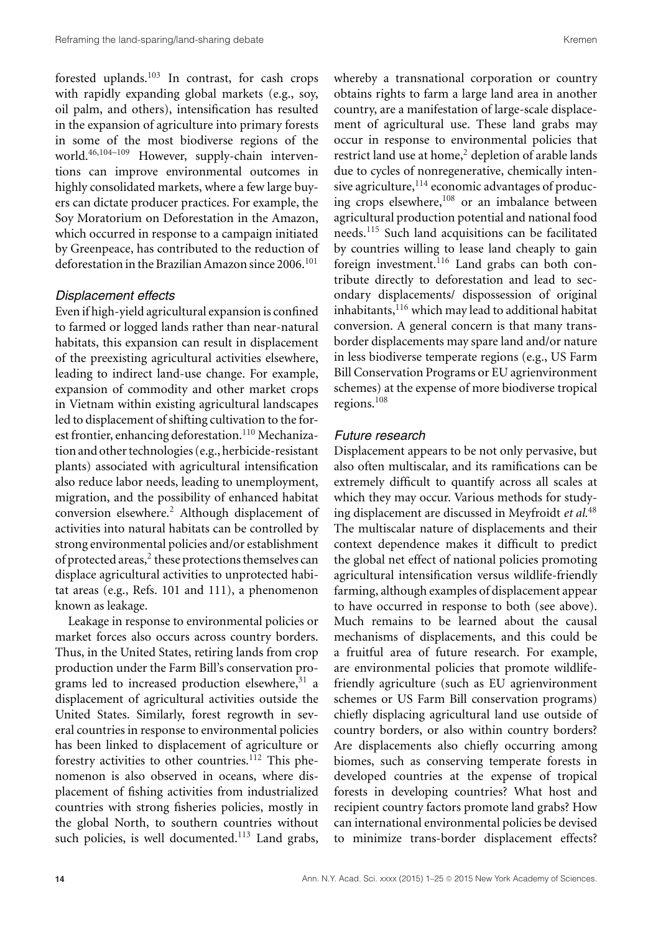forested uplands.103 In contrast, for cash crops with rapidly expanding global markets (e.g., soy, oil palm, and others), intensification has resulted in the expansion of agriculture into primary forests in some of the most biodiverse regions of the world.46,104–109 However, supply-chain interventions can improve environmental outcomes in highly consolidated markets, where a few large buyers can dictate producer practices. For example, the Soy Moratorium on Deforestation in the Amazon, which occurred in response to a campaign initiated by Greenpeace, has contributed to the reduction of deforestation in the Brazilian Amazon since  $2006$ <sup>101</sup>

#### *Displacement effects*

Even if high-yield agricultural expansion is confined to farmed or logged lands rather than near-natural habitats, this expansion can result in displacement of the preexisting agricultural activities elsewhere, leading to indirect land-use change. For example, expansion of commodity and other market crops in Vietnam within existing agricultural landscapes led to displacement of shifting cultivation to the forest frontier, enhancing deforestation.<sup>110</sup> Mechanization and other technologies (e.g., herbicide-resistant plants) associated with agricultural intensification also reduce labor needs, leading to unemployment, migration, and the possibility of enhanced habitat conversion elsewhere.<sup>2</sup> Although displacement of activities into natural habitats can be controlled by strong environmental policies and/or establishment of protected areas,<sup>2</sup> these protections themselves can displace agricultural activities to unprotected habitat areas (e.g., Refs. 101 and 111), a phenomenon known as leakage.

Leakage in response to environmental policies or market forces also occurs across country borders. Thus, in the United States, retiring lands from crop production under the Farm Bill's conservation programs led to increased production elsewhere,<sup>31</sup> a displacement of agricultural activities outside the United States. Similarly, forest regrowth in several countries in response to environmental policies has been linked to displacement of agriculture or forestry activities to other countries.<sup>112</sup> This phenomenon is also observed in oceans, where displacement of fishing activities from industrialized countries with strong fisheries policies, mostly in the global North, to southern countries without such policies, is well documented. $113$  Land grabs,

whereby a transnational corporation or country obtains rights to farm a large land area in another country, are a manifestation of large-scale displacement of agricultural use. These land grabs may occur in response to environmental policies that restrict land use at home, $2$  depletion of arable lands due to cycles of nonregenerative, chemically intensive agriculture,  $114$  economic advantages of producing crops elsewhere,<sup>108</sup> or an imbalance between agricultural production potential and national food needs.<sup>115</sup> Such land acquisitions can be facilitated by countries willing to lease land cheaply to gain foreign investment.<sup>116</sup> Land grabs can both contribute directly to deforestation and lead to secondary displacements/ dispossession of original inhabitants,<sup>116</sup> which may lead to additional habitat conversion. A general concern is that many transborder displacements may spare land and/or nature in less biodiverse temperate regions (e.g., US Farm Bill Conservation Programs or EU agrienvironment schemes) at the expense of more biodiverse tropical regions.<sup>108</sup>

#### *Future research*

Displacement appears to be not only pervasive, but also often multiscalar, and its ramifications can be extremely difficult to quantify across all scales at which they may occur. Various methods for studying displacement are discussed in Meyfroidt *et al.*<sup>48</sup> The multiscalar nature of displacements and their context dependence makes it difficult to predict the global net effect of national policies promoting agricultural intensification versus wildlife-friendly farming, although examples of displacement appear to have occurred in response to both (see above). Much remains to be learned about the causal mechanisms of displacements, and this could be a fruitful area of future research. For example, are environmental policies that promote wildlifefriendly agriculture (such as EU agrienvironment schemes or US Farm Bill conservation programs) chiefly displacing agricultural land use outside of country borders, or also within country borders? Are displacements also chiefly occurring among biomes, such as conserving temperate forests in developed countries at the expense of tropical forests in developing countries? What host and recipient country factors promote land grabs? How can international environmental policies be devised to minimize trans-border displacement effects?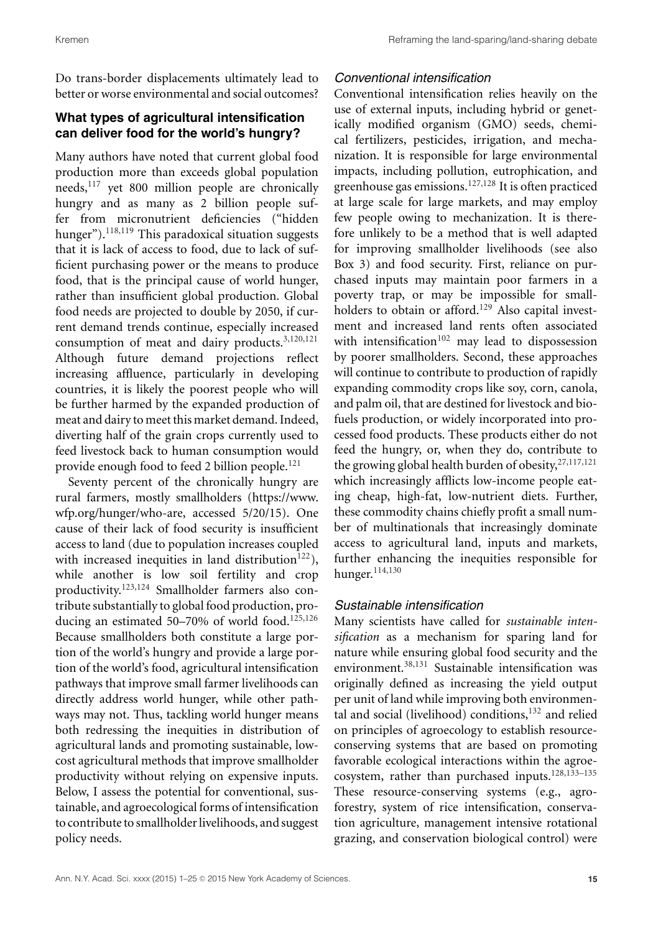Do trans-border displacements ultimately lead to better or worse environmental and social outcomes?

# **What types of agricultural intensification can deliver food for the world's hungry?**

Many authors have noted that current global food production more than exceeds global population needs, $117$  yet 800 million people are chronically hungry and as many as 2 billion people suffer from micronutrient deficiencies ("hidden hunger").<sup>118,119</sup> This paradoxical situation suggests that it is lack of access to food, due to lack of sufficient purchasing power or the means to produce food, that is the principal cause of world hunger, rather than insufficient global production. Global food needs are projected to double by 2050, if current demand trends continue, especially increased consumption of meat and dairy products.<sup>3,120,121</sup> Although future demand projections reflect increasing affluence, particularly in developing countries, it is likely the poorest people who will be further harmed by the expanded production of meat and dairy to meet this market demand. Indeed, diverting half of the grain crops currently used to feed livestock back to human consumption would provide enough food to feed 2 billion people.<sup>121</sup>

Seventy percent of the chronically hungry are rural farmers, mostly smallholders [\(https://www.](https://www.wfp.org/hunger/who-are) [wfp.org/hunger/who-are,](https://www.wfp.org/hunger/who-are) accessed 5/20/15). One cause of their lack of food security is insufficient access to land (due to population increases coupled with increased inequities in land distribution<sup>122</sup>), while another is low soil fertility and crop productivity.123,124 Smallholder farmers also contribute substantially to global food production, producing an estimated 50–70% of world food.<sup>125,126</sup> Because smallholders both constitute a large portion of the world's hungry and provide a large portion of the world's food, agricultural intensification pathways that improve small farmer livelihoods can directly address world hunger, while other pathways may not. Thus, tackling world hunger means both redressing the inequities in distribution of agricultural lands and promoting sustainable, lowcost agricultural methods that improve smallholder productivity without relying on expensive inputs. Below, I assess the potential for conventional, sustainable, and agroecological forms of intensification to contribute to smallholder livelihoods, and suggest policy needs.

# *Conventional intensification*

Conventional intensification relies heavily on the use of external inputs, including hybrid or genetically modified organism (GMO) seeds, chemical fertilizers, pesticides, irrigation, and mechanization. It is responsible for large environmental impacts, including pollution, eutrophication, and greenhouse gas emissions.<sup>127,128</sup> It is often practiced at large scale for large markets, and may employ few people owing to mechanization. It is therefore unlikely to be a method that is well adapted for improving smallholder livelihoods (see also Box 3) and food security. First, reliance on purchased inputs may maintain poor farmers in a poverty trap, or may be impossible for smallholders to obtain or afford.<sup>129</sup> Also capital investment and increased land rents often associated with intensification $102$  may lead to dispossession by poorer smallholders. Second, these approaches will continue to contribute to production of rapidly expanding commodity crops like soy, corn, canola, and palm oil, that are destined for livestock and biofuels production, or widely incorporated into processed food products. These products either do not feed the hungry, or, when they do, contribute to the growing global health burden of obesity,<sup>27,117,121</sup> which increasingly afflicts low-income people eating cheap, high-fat, low-nutrient diets. Further, these commodity chains chiefly profit a small number of multinationals that increasingly dominate access to agricultural land, inputs and markets, further enhancing the inequities responsible for hunger.114,130

# *Sustainable intensification*

Many scientists have called for *sustainable intensification* as a mechanism for sparing land for nature while ensuring global food security and the environment.<sup>38,131</sup> Sustainable intensification was originally defined as increasing the yield output per unit of land while improving both environmental and social (livelihood) conditions, $132$  and relied on principles of agroecology to establish resourceconserving systems that are based on promoting favorable ecological interactions within the agroecosystem, rather than purchased inputs.<sup>128,133-135</sup> These resource-conserving systems (e.g., agroforestry, system of rice intensification, conservation agriculture, management intensive rotational grazing, and conservation biological control) were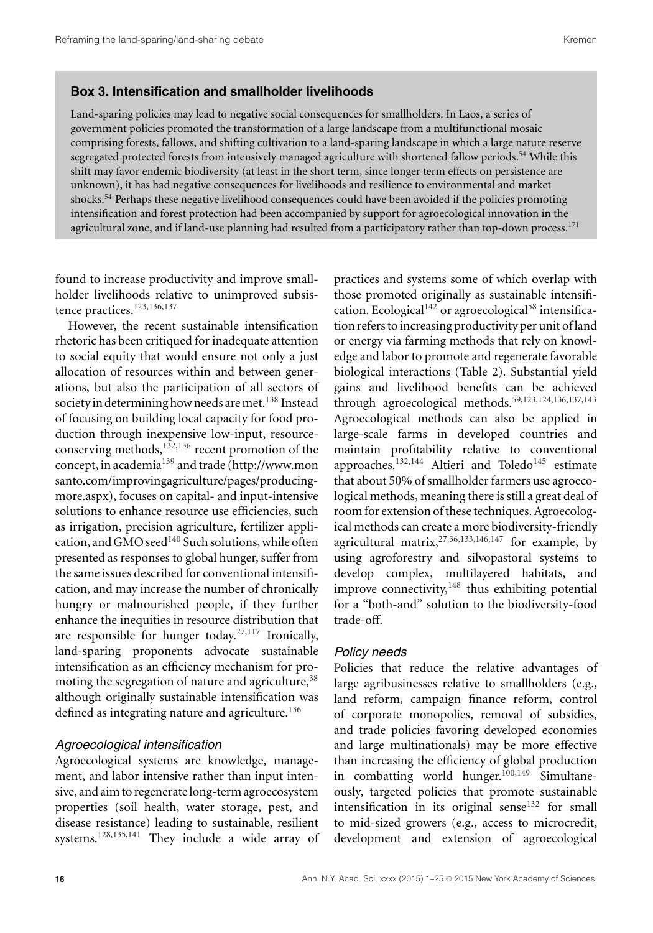#### **Box 3. Intensification and smallholder livelihoods**

Land-sparing policies may lead to negative social consequences for smallholders. In Laos, a series of government policies promoted the transformation of a large landscape from a multifunctional mosaic comprising forests, fallows, and shifting cultivation to a land-sparing landscape in which a large nature reserve segregated protected forests from intensively managed agriculture with shortened fallow periods.<sup>54</sup> While this shift may favor endemic biodiversity (at least in the short term, since longer term effects on persistence are unknown), it has had negative consequences for livelihoods and resilience to environmental and market shocks.54 Perhaps these negative livelihood consequences could have been avoided if the policies promoting intensification and forest protection had been accompanied by support for agroecological innovation in the agricultural zone, and if land-use planning had resulted from a participatory rather than top-down process.<sup>171</sup>

found to increase productivity and improve smallholder livelihoods relative to unimproved subsistence practices.<sup>123,136,137</sup>

However, the recent sustainable intensification rhetoric has been critiqued for inadequate attention to social equity that would ensure not only a just allocation of resources within and between generations, but also the participation of all sectors of society in determining how needs are met.<sup>138</sup> Instead of focusing on building local capacity for food production through inexpensive low-input, resourceconserving methods, $132,136$  recent promotion of the concept, in academia<sup>139</sup> and trade [\(http://www.mon](http://www.monsanto.com/improvingagriculture/pages/producing-more.aspx) [santo.com/improvingagriculture/pages/producing](http://www.monsanto.com/improvingagriculture/pages/producing-more.aspx)[more.aspx\)](http://www.monsanto.com/improvingagriculture/pages/producing-more.aspx), focuses on capital- and input-intensive solutions to enhance resource use efficiencies, such as irrigation, precision agriculture, fertilizer application, and GMO seed $140$  Such solutions, while often presented as responses to global hunger, suffer from the same issues described for conventional intensification, and may increase the number of chronically hungry or malnourished people, if they further enhance the inequities in resource distribution that are responsible for hunger today.<sup>27,117</sup> Ironically, land-sparing proponents advocate sustainable intensification as an efficiency mechanism for promoting the segregation of nature and agriculture,  $38$ although originally sustainable intensification was defined as integrating nature and agriculture.<sup>136</sup>

#### *Agroecological intensification*

Agroecological systems are knowledge, management, and labor intensive rather than input intensive, and aim to regenerate long-term agroecosystem properties (soil health, water storage, pest, and disease resistance) leading to sustainable, resilient systems.128,135,141 They include a wide array of practices and systems some of which overlap with those promoted originally as sustainable intensification. Ecological<sup>142</sup> or agroecological<sup>58</sup> intensification refers to increasing productivity per unit of land or energy via farming methods that rely on knowledge and labor to promote and regenerate favorable biological interactions (Table 2). Substantial yield gains and livelihood benefits can be achieved through agroecological methods.<sup>59,123,124,136,137,143</sup> Agroecological methods can also be applied in large-scale farms in developed countries and maintain profitability relative to conventional approaches. $132,144$  Altieri and Toledo<sup>145</sup> estimate that about 50% of smallholder farmers use agroecological methods, meaning there is still a great deal of room for extension of these techniques. Agroecological methods can create a more biodiversity-friendly agricultural matrix,  $27,36,133,146,147$  for example, by using agroforestry and silvopastoral systems to develop complex, multilayered habitats, and improve connectivity, $148$  thus exhibiting potential for a "both-and" solution to the biodiversity-food trade-off.

#### *Policy needs*

Policies that reduce the relative advantages of large agribusinesses relative to smallholders (e.g., land reform, campaign finance reform, control of corporate monopolies, removal of subsidies, and trade policies favoring developed economies and large multinationals) may be more effective than increasing the efficiency of global production in combatting world hunger. $100,149$  Simultaneously, targeted policies that promote sustainable intensification in its original sense<sup>132</sup> for small to mid-sized growers (e.g., access to microcredit, development and extension of agroecological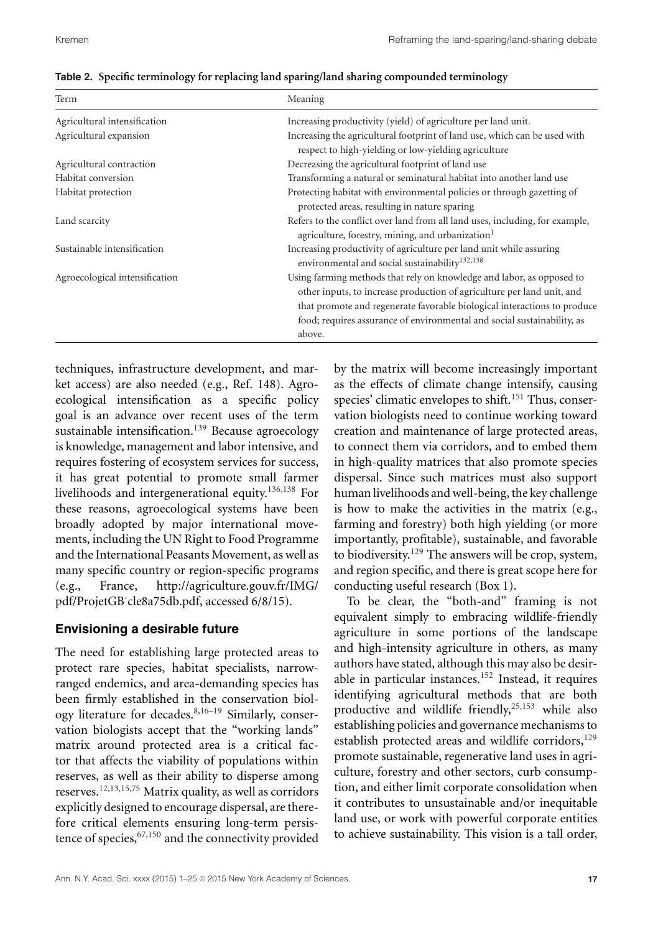| Term                           | Meaning                                                                                                                                                                                                                                                                                                          |
|--------------------------------|------------------------------------------------------------------------------------------------------------------------------------------------------------------------------------------------------------------------------------------------------------------------------------------------------------------|
| Agricultural intensification   | Increasing productivity (yield) of agriculture per land unit.                                                                                                                                                                                                                                                    |
| Agricultural expansion         | Increasing the agricultural footprint of land use, which can be used with<br>respect to high-yielding or low-yielding agriculture                                                                                                                                                                                |
| Agricultural contraction       | Decreasing the agricultural footprint of land use                                                                                                                                                                                                                                                                |
| Habitat conversion             | Transforming a natural or seminatural habitat into another land use                                                                                                                                                                                                                                              |
| Habitat protection             | Protecting habitat with environmental policies or through gazetting of<br>protected areas, resulting in nature sparing                                                                                                                                                                                           |
| Land scarcity                  | Refers to the conflict over land from all land uses, including, for example,<br>agriculture, forestry, mining, and urbanization <sup>1</sup>                                                                                                                                                                     |
| Sustainable intensification    | Increasing productivity of agriculture per land unit while assuring<br>environmental and social sustainability <sup>132,138</sup>                                                                                                                                                                                |
| Agroecological intensification | Using farming methods that rely on knowledge and labor, as opposed to<br>other inputs, to increase production of agriculture per land unit, and<br>that promote and regenerate favorable biological interactions to produce<br>food; requires assurance of environmental and social sustainability, as<br>above. |

|  | Table 2. Specific terminology for replacing land sparing/land sharing compounded terminology |  |  |  |  |  |
|--|----------------------------------------------------------------------------------------------|--|--|--|--|--|
|  |                                                                                              |  |  |  |  |  |

techniques, infrastructure development, and market access) are also needed (e.g., Ref. 148). Agroecological intensification as a specific policy goal is an advance over recent uses of the term sustainable intensification.<sup>139</sup> Because agroecology is knowledge, management and labor intensive, and requires fostering of ecosystem services for success, it has great potential to promote small farmer livelihoods and intergenerational equity.136,138 For these reasons, agroecological systems have been broadly adopted by major international movements, including the UN Right to Food Programme and the International Peasants Movement, as well as many specific country or region-specific programs (e.g., France, [http://agriculture.gouv.fr/IMG/](http://agriculture.gouv.fr/IMG/pdf/ProjetGB_cle8a75db.pdf) [pdf/ProjetGB˙cle8a75db.pdf,](http://agriculture.gouv.fr/IMG/pdf/ProjetGB_cle8a75db.pdf) accessed 6/8/15).

# **Envisioning a desirable future**

The need for establishing large protected areas to protect rare species, habitat specialists, narrowranged endemics, and area-demanding species has been firmly established in the conservation biology literature for decades. $8,16-19$  Similarly, conservation biologists accept that the "working lands" matrix around protected area is a critical factor that affects the viability of populations within reserves, as well as their ability to disperse among reserves.<sup>12,13,15,75</sup> Matrix quality, as well as corridors explicitly designed to encourage dispersal, are therefore critical elements ensuring long-term persistence of species,  $67,150$  and the connectivity provided by the matrix will become increasingly important as the effects of climate change intensify, causing species' climatic envelopes to shift.<sup>151</sup> Thus, conservation biologists need to continue working toward creation and maintenance of large protected areas, to connect them via corridors, and to embed them in high-quality matrices that also promote species dispersal. Since such matrices must also support human livelihoods and well-being, the key challenge is how to make the activities in the matrix (e.g., farming and forestry) both high yielding (or more importantly, profitable), sustainable, and favorable to biodiversity.<sup>129</sup> The answers will be crop, system, and region specific, and there is great scope here for conducting useful research (Box 1).

To be clear, the "both-and" framing is not equivalent simply to embracing wildlife-friendly agriculture in some portions of the landscape and high-intensity agriculture in others, as many authors have stated, although this may also be desirable in particular instances.<sup>152</sup> Instead, it requires identifying agricultural methods that are both productive and wildlife friendly, $25,153$  while also establishing policies and governance mechanisms to establish protected areas and wildlife corridors,  $129$ promote sustainable, regenerative land uses in agriculture, forestry and other sectors, curb consumption, and either limit corporate consolidation when it contributes to unsustainable and/or inequitable land use, or work with powerful corporate entities to achieve sustainability. This vision is a tall order,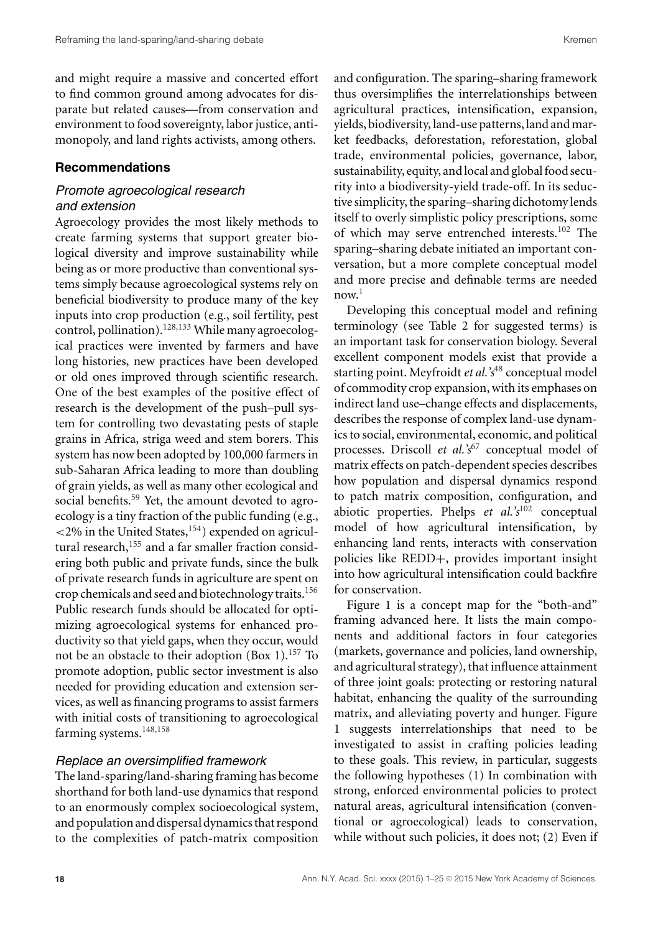and might require a massive and concerted effort to find common ground among advocates for disparate but related causes—from conservation and environment to food sovereignty, labor justice, antimonopoly, and land rights activists, among others.

#### **Recommendations**

# *Promote agroecological research and extension*

Agroecology provides the most likely methods to create farming systems that support greater biological diversity and improve sustainability while being as or more productive than conventional systems simply because agroecological systems rely on beneficial biodiversity to produce many of the key inputs into crop production (e.g., soil fertility, pest control, pollination).<sup>128,133</sup> While many agroecological practices were invented by farmers and have long histories, new practices have been developed or old ones improved through scientific research. One of the best examples of the positive effect of research is the development of the push–pull system for controlling two devastating pests of staple grains in Africa, striga weed and stem borers. This system has now been adopted by 100,000 farmers in sub-Saharan Africa leading to more than doubling of grain yields, as well as many other ecological and social benefits.<sup>59</sup> Yet, the amount devoted to agroecology is a tiny fraction of the public funding (e.g.,  $<$ 2% in the United States,<sup>154</sup>) expended on agricultural research, $155$  and a far smaller fraction considering both public and private funds, since the bulk of private research funds in agriculture are spent on crop chemicals and seed and biotechnology traits.156 Public research funds should be allocated for optimizing agroecological systems for enhanced productivity so that yield gaps, when they occur, would not be an obstacle to their adoption  $(Box 1).<sup>157</sup>$  To promote adoption, public sector investment is also needed for providing education and extension services, as well as financing programs to assist farmers with initial costs of transitioning to agroecological farming systems.<sup>148,158</sup>

#### *Replace an oversimplified framework*

The land-sparing/land-sharing framing has become shorthand for both land-use dynamics that respond to an enormously complex socioecological system, and population and dispersal dynamics that respond to the complexities of patch-matrix composition and configuration. The sparing–sharing framework thus oversimplifies the interrelationships between agricultural practices, intensification, expansion, yields, biodiversity, land-use patterns, land and market feedbacks, deforestation, reforestation, global trade, environmental policies, governance, labor, sustainability, equity, and local and global food security into a biodiversity-yield trade-off. In its seductive simplicity, the sparing–sharing dichotomy lends itself to overly simplistic policy prescriptions, some of which may serve entrenched interests.<sup>102</sup> The sparing–sharing debate initiated an important conversation, but a more complete conceptual model and more precise and definable terms are needed  $now.<sup>1</sup>$ 

Developing this conceptual model and refining terminology (see Table 2 for suggested terms) is an important task for conservation biology. Several excellent component models exist that provide a starting point. Meyfroidt*et al.'s*<sup>48</sup> conceptual model of commodity crop expansion, with its emphases on indirect land use–change effects and displacements, describes the response of complex land-use dynamics to social, environmental, economic, and political processes. Driscoll *et al.*'s<sup>67</sup> conceptual model of matrix effects on patch-dependent species describes how population and dispersal dynamics respond to patch matrix composition, configuration, and abiotic properties. Phelps *et al.'s*<sup>102</sup> conceptual model of how agricultural intensification, by enhancing land rents, interacts with conservation policies like REDD+, provides important insight into how agricultural intensification could backfire for conservation.

Figure 1 is a concept map for the "both-and" framing advanced here. It lists the main components and additional factors in four categories (markets, governance and policies, land ownership, and agricultural strategy), that influence attainment of three joint goals: protecting or restoring natural habitat, enhancing the quality of the surrounding matrix, and alleviating poverty and hunger. Figure 1 suggests interrelationships that need to be investigated to assist in crafting policies leading to these goals. This review, in particular, suggests the following hypotheses (1) In combination with strong, enforced environmental policies to protect natural areas, agricultural intensification (conventional or agroecological) leads to conservation, while without such policies, it does not; (2) Even if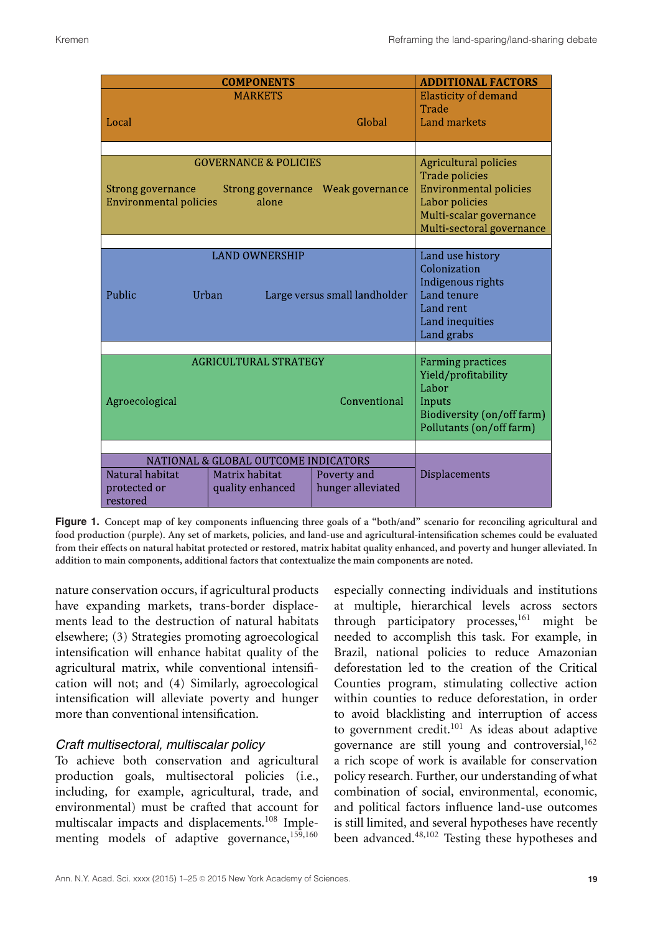|                                                    | <b>ADDITIONAL FACTORS</b>                                                                                                    |                                                                                                                    |                                                                                                                                                                  |
|----------------------------------------------------|------------------------------------------------------------------------------------------------------------------------------|--------------------------------------------------------------------------------------------------------------------|------------------------------------------------------------------------------------------------------------------------------------------------------------------|
|                                                    | <b>MARKETS</b>                                                                                                               |                                                                                                                    | <b>Elasticity of demand</b><br>Trade                                                                                                                             |
| Local                                              |                                                                                                                              | Global                                                                                                             | <b>Land markets</b>                                                                                                                                              |
|                                                    |                                                                                                                              |                                                                                                                    |                                                                                                                                                                  |
| Strong governance<br><b>Environmental policies</b> | <b>GOVERNANCE &amp; POLICIES</b><br>alone                                                                                    | Strong governance Weak governance                                                                                  | <b>Agricultural policies</b><br><b>Trade policies</b><br><b>Environmental policies</b><br>Labor policies<br>Multi-scalar governance<br>Multi-sectoral governance |
|                                                    |                                                                                                                              |                                                                                                                    |                                                                                                                                                                  |
| Public                                             | <b>LAND OWNERSHIP</b><br>Urban<br>Large versus small landholder                                                              | Land use history<br>Colonization<br>Indigenous rights<br>Land tenure<br>Land rent<br>Land inequities<br>Land grabs |                                                                                                                                                                  |
|                                                    |                                                                                                                              |                                                                                                                    |                                                                                                                                                                  |
| <b>AGRICULTURAL STRATEGY</b><br>Agroecological     | <b>Farming practices</b><br>Yield/profitability<br>Labor<br>Inputs<br>Biodiversity (on/off farm)<br>Pollutants (on/off farm) |                                                                                                                    |                                                                                                                                                                  |
|                                                    |                                                                                                                              |                                                                                                                    |                                                                                                                                                                  |
|                                                    | NATIONAL & GLOBAL OUTCOME INDICATORS                                                                                         |                                                                                                                    |                                                                                                                                                                  |
| Natural habitat<br>protected or<br>restored        | Matrix habitat<br>quality enhanced                                                                                           | Poverty and<br>hunger alleviated                                                                                   | <b>Displacements</b>                                                                                                                                             |

**Figure 1. Concept map of key components influencing three goals of a "both/and" scenario for reconciling agricultural and food production (purple). Any set of markets, policies, and land-use and agricultural-intensification schemes could be evaluated from their effects on natural habitat protected or restored, matrix habitat quality enhanced, and poverty and hunger alleviated. In addition to main components, additional factors that contextualize the main components are noted.**

nature conservation occurs, if agricultural products have expanding markets, trans-border displacements lead to the destruction of natural habitats elsewhere; (3) Strategies promoting agroecological intensification will enhance habitat quality of the agricultural matrix, while conventional intensification will not; and (4) Similarly, agroecological intensification will alleviate poverty and hunger more than conventional intensification.

# *Craft multisectoral, multiscalar policy*

To achieve both conservation and agricultural production goals, multisectoral policies (i.e., including, for example, agricultural, trade, and environmental) must be crafted that account for multiscalar impacts and displacements.<sup>108</sup> Implementing models of adaptive governance,<sup>159,160</sup> especially connecting individuals and institutions at multiple, hierarchical levels across sectors through participatory processes,  $161$  might be needed to accomplish this task. For example, in Brazil, national policies to reduce Amazonian deforestation led to the creation of the Critical Counties program, stimulating collective action within counties to reduce deforestation, in order to avoid blacklisting and interruption of access to government credit. $101$  As ideas about adaptive governance are still young and controversial,  $162$ a rich scope of work is available for conservation policy research. Further, our understanding of what combination of social, environmental, economic, and political factors influence land-use outcomes is still limited, and several hypotheses have recently been advanced.48,102 Testing these hypotheses and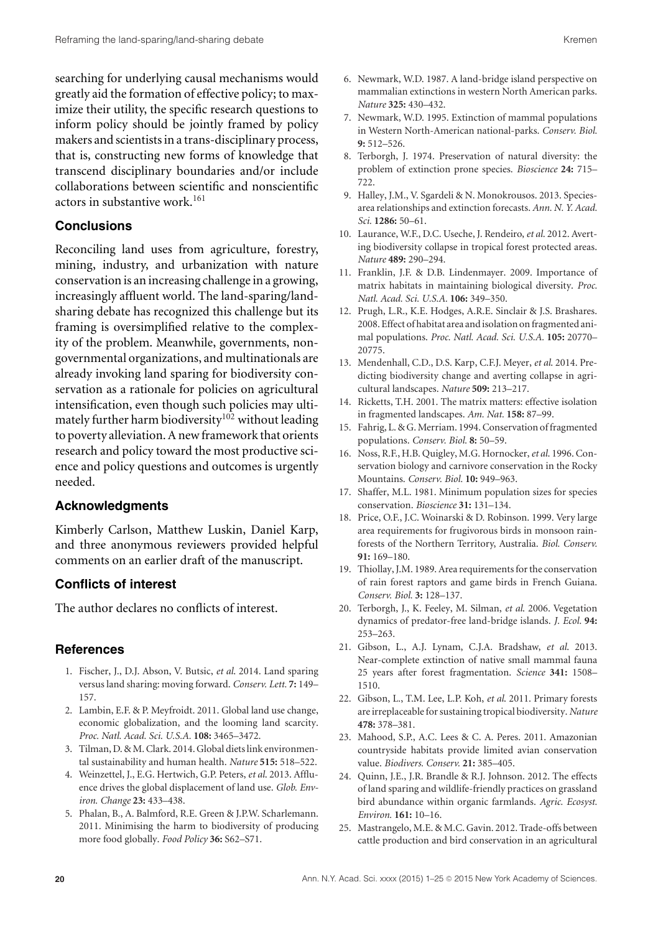searching for underlying causal mechanisms would greatly aid the formation of effective policy; to maximize their utility, the specific research questions to inform policy should be jointly framed by policy makers and scientists in a trans-disciplinary process, that is, constructing new forms of knowledge that transcend disciplinary boundaries and/or include collaborations between scientific and nonscientific actors in substantive work.<sup>161</sup>

#### **Conclusions**

Reconciling land uses from agriculture, forestry, mining, industry, and urbanization with nature conservation is an increasing challenge in a growing, increasingly affluent world. The land-sparing/landsharing debate has recognized this challenge but its framing is oversimplified relative to the complexity of the problem. Meanwhile, governments, nongovernmental organizations, and multinationals are already invoking land sparing for biodiversity conservation as a rationale for policies on agricultural intensification, even though such policies may ultimately further harm biodiversity<sup>102</sup> without leading to poverty alleviation. A new framework that orients research and policy toward the most productive science and policy questions and outcomes is urgently needed.

#### **Acknowledgments**

Kimberly Carlson, Matthew Luskin, Daniel Karp, and three anonymous reviewers provided helpful comments on an earlier draft of the manuscript.

## **Conflicts of interest**

The author declares no conflicts of interest.

#### **References**

- 1. Fischer, J., D.J. Abson, V. Butsic, *et al*. 2014. Land sparing versus land sharing: moving forward. *Conserv. Lett.* **7:** 149– 157.
- 2. Lambin, E.F. & P. Meyfroidt. 2011. Global land use change, economic globalization, and the looming land scarcity. *Proc. Natl. Acad. Sci. U.S.A.* **108:** 3465–3472.
- 3. Tilman, D. & M. Clark. 2014. Global diets link environmental sustainability and human health. *Nature* **515:** 518–522.
- 4. Weinzettel, J., E.G. Hertwich, G.P. Peters, *et al*. 2013. Affluence drives the global displacement of land use. *Glob. Environ. Change* **23:** 433–438.
- 5. Phalan, B., A. Balmford, R.E. Green & J.P.W. Scharlemann. 2011. Minimising the harm to biodiversity of producing more food globally. *Food Policy* **36:** S62–S71.
- 6. Newmark, W.D. 1987. A land-bridge island perspective on mammalian extinctions in western North American parks. *Nature* **325:** 430–432.
- 7. Newmark, W.D. 1995. Extinction of mammal populations in Western North-American national-parks. *Conserv. Biol.* **9:** 512–526.
- 8. Terborgh, J. 1974. Preservation of natural diversity: the problem of extinction prone species. *Bioscience* **24:** 715– 722.
- 9. Halley, J.M., V. Sgardeli & N. Monokrousos. 2013. Speciesarea relationships and extinction forecasts. *Ann. N. Y. Acad. Sci.* **1286:** 50–61.
- 10. Laurance, W.F., D.C. Useche, J. Rendeiro,*et al*. 2012. Averting biodiversity collapse in tropical forest protected areas. *Nature* **489:** 290–294.
- 11. Franklin, J.F. & D.B. Lindenmayer. 2009. Importance of matrix habitats in maintaining biological diversity. *Proc. Natl. Acad. Sci. U.S.A.* **106:** 349–350.
- 12. Prugh, L.R., K.E. Hodges, A.R.E. Sinclair & J.S. Brashares. 2008. Effect of habitat area and isolation on fragmented animal populations. *Proc. Natl. Acad. Sci. U.S.A.* **105:** 20770– 20775.
- 13. Mendenhall, C.D., D.S. Karp, C.F.J. Meyer, *et al*. 2014. Predicting biodiversity change and averting collapse in agricultural landscapes. *Nature* **509:** 213–217.
- 14. Ricketts, T.H. 2001. The matrix matters: effective isolation in fragmented landscapes. *Am. Nat.* **158:** 87–99.
- 15. Fahrig, L. & G.Merriam. 1994. Conservation of fragmented populations. *Conserv. Biol.* **8:** 50–59.
- 16. Noss, R.F., H.B. Quigley, M.G. Hornocker,*et al*. 1996. Conservation biology and carnivore conservation in the Rocky Mountains. *Conserv. Biol.* **10:** 949–963.
- 17. Shaffer, M.L. 1981. Minimum population sizes for species conservation. *Bioscience* **31:** 131–134.
- 18. Price, O.F., J.C. Woinarski & D. Robinson. 1999. Very large area requirements for frugivorous birds in monsoon rainforests of the Northern Territory, Australia. *Biol. Conserv.* **91:** 169–180.
- 19. Thiollay, J.M. 1989. Area requirements for the conservation of rain forest raptors and game birds in French Guiana. *Conserv. Biol.* **3:** 128–137.
- 20. Terborgh, J., K. Feeley, M. Silman, *et al*. 2006. Vegetation dynamics of predator-free land-bridge islands. *J. Ecol.* **94:** 253–263.
- 21. Gibson, L., A.J. Lynam, C.J.A. Bradshaw, *et al*. 2013. Near-complete extinction of native small mammal fauna 25 years after forest fragmentation. *Science* **341:** 1508– 1510.
- 22. Gibson, L., T.M. Lee, L.P. Koh, *et al*. 2011. Primary forests are irreplaceable for sustaining tropical biodiversity. *Nature* **478:** 378–381.
- 23. Mahood, S.P., A.C. Lees & C. A. Peres. 2011. Amazonian countryside habitats provide limited avian conservation value. *Biodivers. Conserv.* **21:** 385–405.
- 24. Quinn, J.E., J.R. Brandle & R.J. Johnson. 2012. The effects of land sparing and wildlife-friendly practices on grassland bird abundance within organic farmlands. *Agric. Ecosyst. Environ.* **161:** 10–16.
- 25. Mastrangelo, M.E. & M.C. Gavin. 2012. Trade-offs between cattle production and bird conservation in an agricultural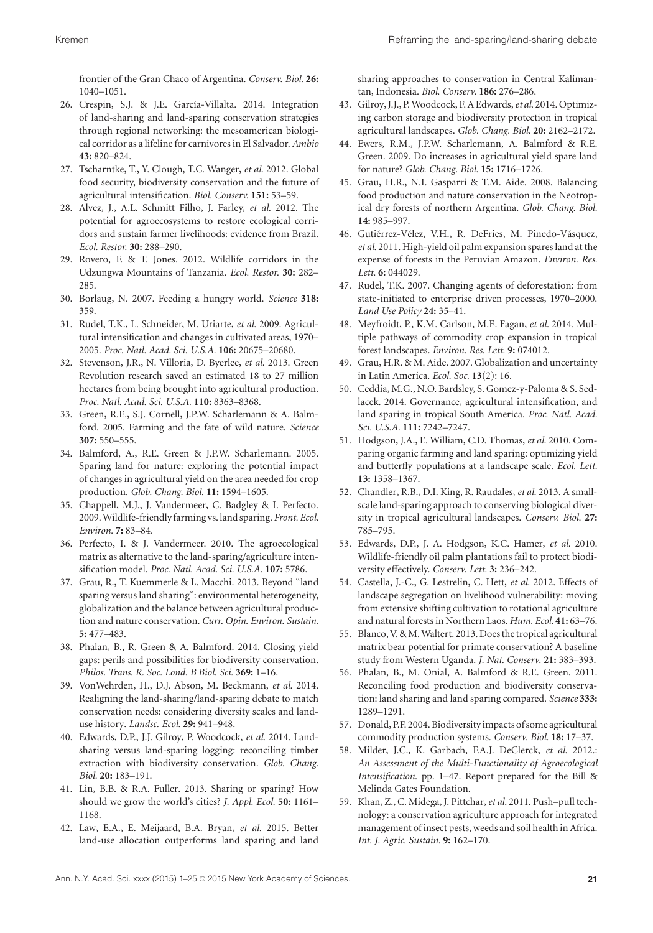frontier of the Gran Chaco of Argentina. *Conserv. Biol.* **26:** 1040–1051.

- 26. Crespin, S.J. & J.E. García-Villalta. 2014. Integration of land-sharing and land-sparing conservation strategies through regional networking: the mesoamerican biological corridor as a lifeline for carnivores in El Salvador. *Ambio* **43:** 820–824.
- 27. Tscharntke, T., Y. Clough, T.C. Wanger, *et al*. 2012. Global food security, biodiversity conservation and the future of agricultural intensification. *Biol. Conserv.* **151:** 53–59.
- 28. Alvez, J., A.L. Schmitt Filho, J. Farley, *et al*. 2012. The potential for agroecosystems to restore ecological corridors and sustain farmer livelihoods: evidence from Brazil. *Ecol. Restor.* **30:** 288–290.
- 29. Rovero, F. & T. Jones. 2012. Wildlife corridors in the Udzungwa Mountains of Tanzania. *Ecol. Restor.* **30:** 282– 285.
- 30. Borlaug, N. 2007. Feeding a hungry world. *Science* **318:** 359.
- 31. Rudel, T.K., L. Schneider, M. Uriarte, *et al*. 2009. Agricultural intensification and changes in cultivated areas, 1970– 2005. *Proc. Natl. Acad. Sci. U.S.A.* **106:** 20675–20680.
- 32. Stevenson, J.R., N. Villoria, D. Byerlee, *et al*. 2013. Green Revolution research saved an estimated 18 to 27 million hectares from being brought into agricultural production. *Proc. Natl. Acad. Sci. U.S.A.* **110:** 8363–8368.
- 33. Green, R.E., S.J. Cornell, J.P.W. Scharlemann & A. Balmford. 2005. Farming and the fate of wild nature. *Science* **307:** 550–555.
- 34. Balmford, A., R.E. Green & J.P.W. Scharlemann. 2005. Sparing land for nature: exploring the potential impact of changes in agricultural yield on the area needed for crop production. *Glob. Chang. Biol.* **11:** 1594–1605.
- 35. Chappell, M.J., J. Vandermeer, C. Badgley & I. Perfecto. 2009.Wildlife-friendlyfarming vs. land sparing. *Front. Ecol. Environ.* **7:** 83–84.
- 36. Perfecto, I. & J. Vandermeer. 2010. The agroecological matrix as alternative to the land-sparing/agriculture intensification model. *Proc. Natl. Acad. Sci. U.S.A.* **107:** 5786.
- 37. Grau, R., T. Kuemmerle & L. Macchi. 2013. Beyond "land sparing versus land sharing": environmental heterogeneity, globalization and the balance between agricultural production and nature conservation. *Curr. Opin. Environ. Sustain.* **5:** 477–483.
- 38. Phalan, B., R. Green & A. Balmford. 2014. Closing yield gaps: perils and possibilities for biodiversity conservation. *Philos. Trans. R. Soc. Lond. B Biol. Sci.* **369:** 1–16.
- 39. VonWehrden, H., D.J. Abson, M. Beckmann, *et al*. 2014. Realigning the land-sharing/land-sparing debate to match conservation needs: considering diversity scales and landuse history. *Landsc. Ecol.* **29:** 941–948.
- 40. Edwards, D.P., J.J. Gilroy, P. Woodcock, *et al*. 2014. Landsharing versus land-sparing logging: reconciling timber extraction with biodiversity conservation. *Glob. Chang. Biol.* **20:** 183–191.
- 41. Lin, B.B. & R.A. Fuller. 2013. Sharing or sparing? How should we grow the world's cities? *J. Appl. Ecol.* **50:** 1161– 1168.
- 42. Law, E.A., E. Meijaard, B.A. Bryan, *et al*. 2015. Better land-use allocation outperforms land sparing and land

sharing approaches to conservation in Central Kalimantan, Indonesia. *Biol. Conserv.* **186:** 276–286.

- 43. Gilroy, J.J., P.Woodcock, F. A Edwards,*et al*. 2014. Optimizing carbon storage and biodiversity protection in tropical agricultural landscapes. *Glob. Chang. Biol.* **20:** 2162–2172.
- 44. Ewers, R.M., J.P.W. Scharlemann, A. Balmford & R.E. Green. 2009. Do increases in agricultural yield spare land for nature? *Glob. Chang. Biol.* **15:** 1716–1726.
- 45. Grau, H.R., N.I. Gasparri & T.M. Aide. 2008. Balancing food production and nature conservation in the Neotropical dry forests of northern Argentina. *Glob. Chang. Biol.* **14:** 985–997.
- 46. Gutiérrez-Vélez, V.H., R. DeFries, M. Pinedo-Vásquez, *et al*. 2011. High-yield oil palm expansion spares land at the expense of forests in the Peruvian Amazon. *Environ. Res. Lett.* **6:** 044029.
- 47. Rudel, T.K. 2007. Changing agents of deforestation: from state-initiated to enterprise driven processes, 1970–2000. *Land Use Policy* **24:** 35–41.
- 48. Meyfroidt, P., K.M. Carlson, M.E. Fagan, *et al*. 2014. Multiple pathways of commodity crop expansion in tropical forest landscapes. *Environ. Res. Lett.* **9:** 074012.
- 49. Grau, H.R. & M. Aide. 2007. Globalization and uncertainty in Latin America. *Ecol. Soc.* **13**(2): 16.
- 50. Ceddia, M.G., N.O. Bardsley, S. Gomez-y-Paloma & S. Sedlacek. 2014. Governance, agricultural intensification, and land sparing in tropical South America. *Proc. Natl. Acad. Sci. U.S.A.* **111:** 7242–7247.
- 51. Hodgson, J.A., E. William, C.D. Thomas, *et al*. 2010. Comparing organic farming and land sparing: optimizing yield and butterfly populations at a landscape scale. *Ecol. Lett.* **13:** 1358–1367.
- 52. Chandler, R.B., D.I. King, R. Raudales, *et al*. 2013. A smallscale land-sparing approach to conserving biological diversity in tropical agricultural landscapes. *Conserv. Biol*. **27:** 785–795.
- 53. Edwards, D.P., J. A. Hodgson, K.C. Hamer, *et al*. 2010. Wildlife-friendly oil palm plantations fail to protect biodiversity effectively. *Conserv. Lett.* **3:** 236–242.
- 54. Castella, J.-C., G. Lestrelin, C. Hett, *et al*. 2012. Effects of landscape segregation on livelihood vulnerability: moving from extensive shifting cultivation to rotational agriculture and natural forests in Northern Laos. *Hum. Ecol.* **41:** 63–76.
- 55. Blanco, V. & M. Waltert. 2013. Does the tropical agricultural matrix bear potential for primate conservation? A baseline study from Western Uganda. *J. Nat. Conserv*. **21:** 383–393.
- 56. Phalan, B., M. Onial, A. Balmford & R.E. Green. 2011. Reconciling food production and biodiversity conservation: land sharing and land sparing compared. *Science* **333:** 1289–1291.
- 57. Donald, P.F. 2004. Biodiversity impacts of some agricultural commodity production systems. *Conserv. Biol.* **18:** 17–37.
- 58. Milder, J.C., K. Garbach, F.A.J. DeClerck, *et al*. 2012.: *An Assessment of the Multi-Functionality of Agroecological Intensification*. pp. 1–47. Report prepared for the Bill & Melinda Gates Foundation.
- 59. Khan, Z., C. Midega, J. Pittchar,*et al*. 2011. Push–pull technology: a conservation agriculture approach for integrated management of insect pests, weeds and soil health in Africa. *Int. J. Agric. Sustain.* **9:** 162–170.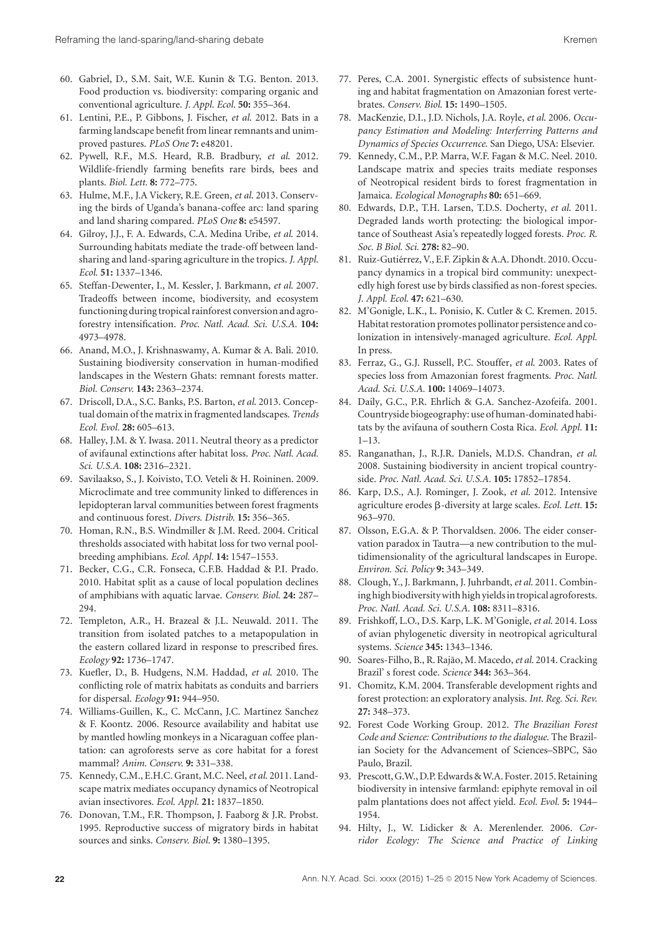- 60. Gabriel, D., S.M. Sait, W.E. Kunin & T.G. Benton. 2013. Food production vs. biodiversity: comparing organic and conventional agriculture. *J. Appl. Ecol.* **50:** 355–364.
- 61. Lentini, P.E., P. Gibbons, J. Fischer, *et al*. 2012. Bats in a farming landscape benefit from linear remnants and unimproved pastures. *PLoS One* **7:** e48201.
- 62. Pywell, R.F., M.S. Heard, R.B. Bradbury, *et al*. 2012. Wildlife-friendly farming benefits rare birds, bees and plants. *Biol. Lett.* **8:** 772–775.
- 63. Hulme, M.F., J.A Vickery, R.E. Green, *et al*. 2013. Conserving the birds of Uganda's banana-coffee arc: land sparing and land sharing compared. *PLoS One* **8:** e54597.
- 64. Gilroy, J.J., F. A. Edwards, C.A. Medina Uribe, *et al*. 2014. Surrounding habitats mediate the trade-off between landsharing and land-sparing agriculture in the tropics. *J. Appl. Ecol.* **51:** 1337–1346.
- 65. Steffan-Dewenter, I., M. Kessler, J. Barkmann, *et al*. 2007. Tradeoffs between income, biodiversity, and ecosystem functioning during tropical rainforest conversion and agroforestry intensification. *Proc. Natl. Acad. Sci. U.S.A.* **104:** 4973–4978.
- 66. Anand, M.O., J. Krishnaswamy, A. Kumar & A. Bali. 2010. Sustaining biodiversity conservation in human-modified landscapes in the Western Ghats: remnant forests matter. *Biol. Conserv.* **143:** 2363–2374.
- 67. Driscoll, D.A., S.C. Banks, P.S. Barton, *et al*. 2013. Conceptual domain of the matrix in fragmented landscapes. *Trends Ecol. Evol.* **28:** 605–613.
- 68. Halley, J.M. & Y. Iwasa. 2011. Neutral theory as a predictor of avifaunal extinctions after habitat loss. *Proc. Natl. Acad. Sci. U.S.A.* **108:** 2316–2321.
- 69. Savilaakso, S., J. Koivisto, T.O. Veteli & H. Roininen. 2009. Microclimate and tree community linked to differences in lepidopteran larval communities between forest fragments and continuous forest. *Divers. Distrib.* **15:** 356–365.
- 70. Homan, R.N., B.S. Windmiller & J.M. Reed. 2004. Critical thresholds associated with habitat loss for two vernal poolbreeding amphibians. *Ecol. Appl.* **14:** 1547–1553.
- 71. Becker, C.G., C.R. Fonseca, C.F.B. Haddad & P.I. Prado. 2010. Habitat split as a cause of local population declines of amphibians with aquatic larvae. *Conserv. Biol.* **24:** 287– 294.
- 72. Templeton, A.R., H. Brazeal & J.L. Neuwald. 2011. The transition from isolated patches to a metapopulation in the eastern collared lizard in response to prescribed fires. *Ecology* **92:** 1736–1747.
- 73. Kuefler, D., B. Hudgens, N.M. Haddad, *et al*. 2010. The conflicting role of matrix habitats as conduits and barriers for dispersal. *Ecology* **91:** 944–950.
- 74. Williams-Guillen, K., C. McCann, J.C. Martinez Sanchez & F. Koontz. 2006. Resource availability and habitat use by mantled howling monkeys in a Nicaraguan coffee plantation: can agroforests serve as core habitat for a forest mammal? *Anim. Conserv.* **9:** 331–338.
- 75. Kennedy, C.M., E.H.C. Grant, M.C. Neel,*et al*. 2011. Landscape matrix mediates occupancy dynamics of Neotropical avian insectivores. *Ecol. Appl.* **21:** 1837–1850.
- 76. Donovan, T.M., F.R. Thompson, J. Faaborg & J.R. Probst. 1995. Reproductive success of migratory birds in habitat sources and sinks. *Conserv. Biol.* **9:** 1380–1395.
- 77. Peres, C.A. 2001. Synergistic effects of subsistence hunting and habitat fragmentation on Amazonian forest vertebrates. *Conserv. Biol.* **15:** 1490–1505.
- 78. MacKenzie, D.I., J.D. Nichols, J.A. Royle, *et al*. 2006. *Occupancy Estimation and Modeling: Interferring Patterns and Dynamics of Species Occurrence*. San Diego, USA: Elsevier.
- 79. Kennedy, C.M., P.P. Marra, W.F. Fagan & M.C. Neel. 2010. Landscape matrix and species traits mediate responses of Neotropical resident birds to forest fragmentation in Jamaica. *Ecological Monographs* **80:** 651–669.
- 80. Edwards, D.P., T.H. Larsen, T.D.S. Docherty, *et al*. 2011. Degraded lands worth protecting: the biological importance of Southeast Asia's repeatedly logged forests. *Proc. R. Soc. B Biol. Sci.* **278:** 82–90.
- 81. Ruiz-Gutiérrez, V., E.F. Zipkin & A.A. Dhondt. 2010. Occupancy dynamics in a tropical bird community: unexpectedly high forest use by birds classified as non-forest species. *J. Appl. Ecol.* **47:** 621–630.
- 82. M'Gonigle, L.K., L. Ponisio, K. Cutler & C. Kremen. 2015. Habitat restoration promotes pollinator persistence and colonization in intensively-managed agriculture. *Ecol. Appl.* In press.
- 83. Ferraz, G., G.J. Russell, P.C. Stouffer, *et al*. 2003. Rates of species loss from Amazonian forest fragments. *Proc. Natl. Acad. Sci. U.S.A.* **100:** 14069–14073.
- 84. Daily, G.C., P.R. Ehrlich & G.A. Sanchez-Azofeifa. 2001. Countryside biogeography: use of human-dominated habitats by the avifauna of southern Costa Rica. *Ecol. Appl.* **11:** 1–13.
- 85. Ranganathan, J., R.J.R. Daniels, M.D.S. Chandran, *et al*. 2008. Sustaining biodiversity in ancient tropical countryside. *Proc. Natl. Acad. Sci. U.S.A.* **105:** 17852–17854.
- 86. Karp, D.S., A.J. Rominger, J. Zook, *et al*. 2012. Intensive agriculture erodes β-diversity at large scales. *Ecol. Lett.* 15: 963–970.
- 87. Olsson, E.G.A. & P. Thorvaldsen. 2006. The eider conservation paradox in Tautra—a new contribution to the multidimensionality of the agricultural landscapes in Europe. *Environ. Sci. Policy* **9:** 343–349.
- 88. Clough, Y., J. Barkmann, J. Juhrbandt,*et al*. 2011. Combining high biodiversitywith high yieldsin tropical agroforests. *Proc. Natl. Acad. Sci. U.S.A.* **108:** 8311–8316.
- 89. Frishkoff, L.O., D.S. Karp, L.K. M'Gonigle, *et al*. 2014. Loss of avian phylogenetic diversity in neotropical agricultural systems. *Science* **345:** 1343–1346.
- 90. Soares-Filho, B., R. Rajão, M. Macedo, et al. 2014. Cracking Brazil' s forest code. *Science* **344:** 363–364.
- 91. Chomitz, K.M. 2004. Transferable development rights and forest protection: an exploratory analysis. *Int. Reg. Sci. Rev.* **27:** 348–373.
- 92. Forest Code Working Group. 2012. *The Brazilian Forest Code and Science: Contributions to the dialogue*. The Brazilian Society for the Advancement of Sciences–SBPC, São Paulo, Brazil.
- 93. Prescott, G.W., D.P. Edwards & W.A. Foster. 2015. Retaining biodiversity in intensive farmland: epiphyte removal in oil palm plantations does not affect yield. *Ecol. Evol.* **5:** 1944– 1954.
- 94. Hilty, J., W. Lidicker & A. Merenlender. 2006. *Corridor Ecology: The Science and Practice of Linking*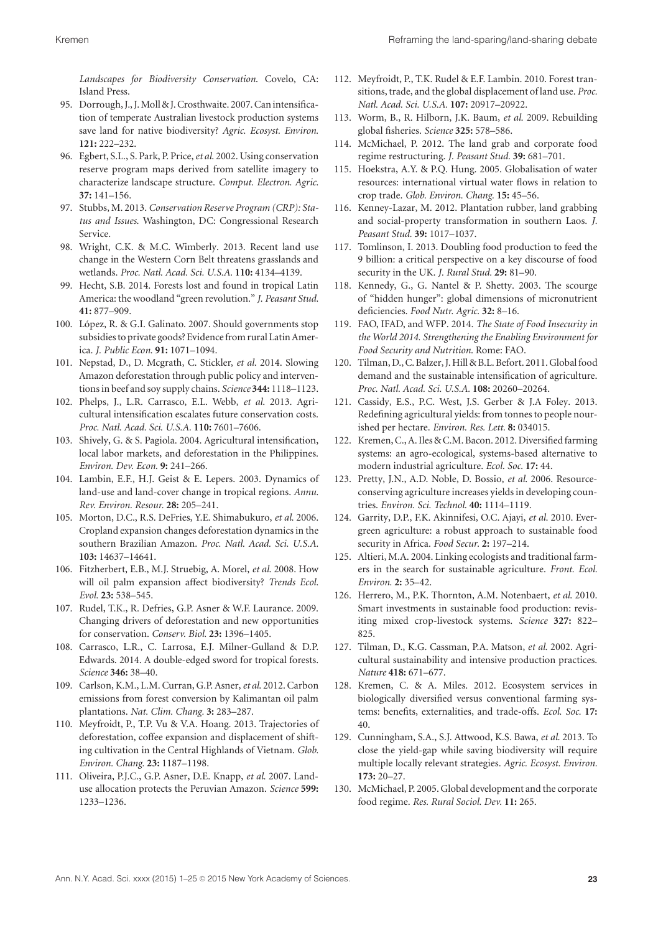*Landscapes for Biodiversity Conservation*. Covelo, CA: Island Press.

- 95. Dorrough, J., J. Moll & J. Crosthwaite. 2007. Can intensification of temperate Australian livestock production systems save land for native biodiversity? *Agric. Ecosyst. Environ.* **121:** 222–232.
- 96. Egbert, S.L., S. Park, P. Price,*et al*. 2002. Using conservation reserve program maps derived from satellite imagery to characterize landscape structure. *Comput. Electron. Agric.* **37:** 141–156.
- 97. Stubbs, M. 2013. *Conservation Reserve Program (CRP): Status and Issues*. Washington, DC: Congressional Research Service.
- 98. Wright, C.K. & M.C. Wimberly. 2013. Recent land use change in the Western Corn Belt threatens grasslands and wetlands. *Proc. Natl. Acad. Sci. U.S.A.* **110:** 4134–4139.
- 99. Hecht, S.B. 2014. Forests lost and found in tropical Latin America: the woodland "green revolution." *J. Peasant Stud.* **41:** 877–909.
- 100. López, R. & G.I. Galinato. 2007. Should governments stop subsidies to private goods? Evidence from rural Latin America. *J. Public Econ.* **91:** 1071–1094.
- 101. Nepstad, D., D. Mcgrath, C. Stickler, *et al*. 2014. Slowing Amazon deforestation through public policy and interventions in beef and soy supply chains. *Science* **344:** 1118–1123.
- 102. Phelps, J., L.R. Carrasco, E.L. Webb, *et al*. 2013. Agricultural intensification escalates future conservation costs. *Proc. Natl. Acad. Sci. U.S.A.* **110:** 7601–7606.
- 103. Shively, G. & S. Pagiola. 2004. Agricultural intensification, local labor markets, and deforestation in the Philippines. *Environ. Dev. Econ.* **9:** 241–266.
- 104. Lambin, E.F., H.J. Geist & E. Lepers. 2003. Dynamics of land-use and land-cover change in tropical regions. *Annu. Rev. Environ. Resour.* **28:** 205–241.
- 105. Morton, D.C., R.S. DeFries, Y.E. Shimabukuro, *et al*. 2006. Cropland expansion changes deforestation dynamics in the southern Brazilian Amazon. *Proc. Natl. Acad. Sci. U.S.A.* **103:** 14637–14641.
- 106. Fitzherbert, E.B., M.J. Struebig, A. Morel, *et al*. 2008. How will oil palm expansion affect biodiversity? *Trends Ecol. Evol.* **23:** 538–545.
- 107. Rudel, T.K., R. Defries, G.P. Asner & W.F. Laurance. 2009. Changing drivers of deforestation and new opportunities for conservation. *Conserv. Biol.* **23:** 1396–1405.
- 108. Carrasco, L.R., C. Larrosa, E.J. Milner-Gulland & D.P. Edwards. 2014. A double-edged sword for tropical forests. *Science* **346:** 38–40.
- 109. Carlson, K.M., L.M. Curran, G.P. Asner,*et al*. 2012. Carbon emissions from forest conversion by Kalimantan oil palm plantations. *Nat. Clim. Chang.* **3:** 283–287.
- 110. Meyfroidt, P., T.P. Vu & V.A. Hoang. 2013. Trajectories of deforestation, coffee expansion and displacement of shifting cultivation in the Central Highlands of Vietnam. *Glob. Environ. Chang.* **23:** 1187–1198.
- 111. Oliveira, P.J.C., G.P. Asner, D.E. Knapp, *et al*. 2007. Landuse allocation protects the Peruvian Amazon. *Science* **599:** 1233–1236.
- 112. Meyfroidt, P., T.K. Rudel & E.F. Lambin. 2010. Forest transitions, trade, and the global displacement of land use. *Proc. Natl. Acad. Sci. U.S.A.* **107:** 20917–20922.
- 113. Worm, B., R. Hilborn, J.K. Baum, *et al*. 2009. Rebuilding global fisheries. *Science* **325:** 578–586.
- 114. McMichael, P. 2012. The land grab and corporate food regime restructuring. *J. Peasant Stud.* **39:** 681–701.
- 115. Hoekstra, A.Y. & P.Q. Hung. 2005. Globalisation of water resources: international virtual water flows in relation to crop trade. *Glob. Environ. Chang.* **15:** 45–56.
- 116. Kenney-Lazar, M. 2012. Plantation rubber, land grabbing and social-property transformation in southern Laos. *J. Peasant Stud.* **39:** 1017–1037.
- 117. Tomlinson, I. 2013. Doubling food production to feed the 9 billion: a critical perspective on a key discourse of food security in the UK. *J. Rural Stud.* **29:** 81–90.
- 118. Kennedy, G., G. Nantel & P. Shetty. 2003. The scourge of "hidden hunger": global dimensions of micronutrient deficiencies. *Food Nutr. Agric.* **32:** 8–16.
- 119. FAO, IFAD, and WFP. 2014. *The State of Food Insecurity in the World 2014. Strengthening the Enabling Environment for Food Security and Nutrition*. Rome: FAO.
- 120. Tilman, D., C. Balzer, J. Hill & B.L. Befort. 2011. Globalfood demand and the sustainable intensification of agriculture. *Proc. Natl. Acad. Sci. U.S.A.* **108:** 20260–20264.
- 121. Cassidy, E.S., P.C. West, J.S. Gerber & J.A Foley. 2013. Redefining agricultural yields: from tonnes to people nourished per hectare. *Environ. Res. Lett.* **8:** 034015.
- 122. Kremen, C., A. Iles & C.M. Bacon. 2012. Diversified farming systems: an agro-ecological, systems-based alternative to modern industrial agriculture. *Ecol. Soc.* **17:** 44.
- 123. Pretty, J.N., A.D. Noble, D. Bossio, *et al*. 2006. Resourceconserving agriculture increases yields in developing countries. *Environ. Sci. Technol.* **40:** 1114–1119.
- 124. Garrity, D.P., F.K. Akinnifesi, O.C. Ajayi, *et al*. 2010. Evergreen agriculture: a robust approach to sustainable food security in Africa. *Food Secur*. **2:** 197–214.
- 125. Altieri, M.A. 2004. Linking ecologists and traditional farmers in the search for sustainable agriculture. *Front. Ecol. Environ.* **2:** 35–42.
- 126. Herrero, M., P.K. Thornton, A.M. Notenbaert, *et al*. 2010. Smart investments in sustainable food production: revisiting mixed crop-livestock systems. *Science* **327:** 822– 825.
- 127. Tilman, D., K.G. Cassman, P.A. Matson, *et al*. 2002. Agricultural sustainability and intensive production practices. *Nature* **418:** 671–677.
- 128. Kremen, C. & A. Miles. 2012. Ecosystem services in biologically diversified versus conventional farming systems: benefits, externalities, and trade-offs. *Ecol. Soc.* **17:** 40.
- 129. Cunningham, S.A., S.J. Attwood, K.S. Bawa, *et al*. 2013. To close the yield-gap while saving biodiversity will require multiple locally relevant strategies. *Agric. Ecosyst. Environ.* **173:** 20–27.
- 130. McMichael, P. 2005. Global development and the corporate food regime. *Res. Rural Sociol. Dev.* **11:** 265.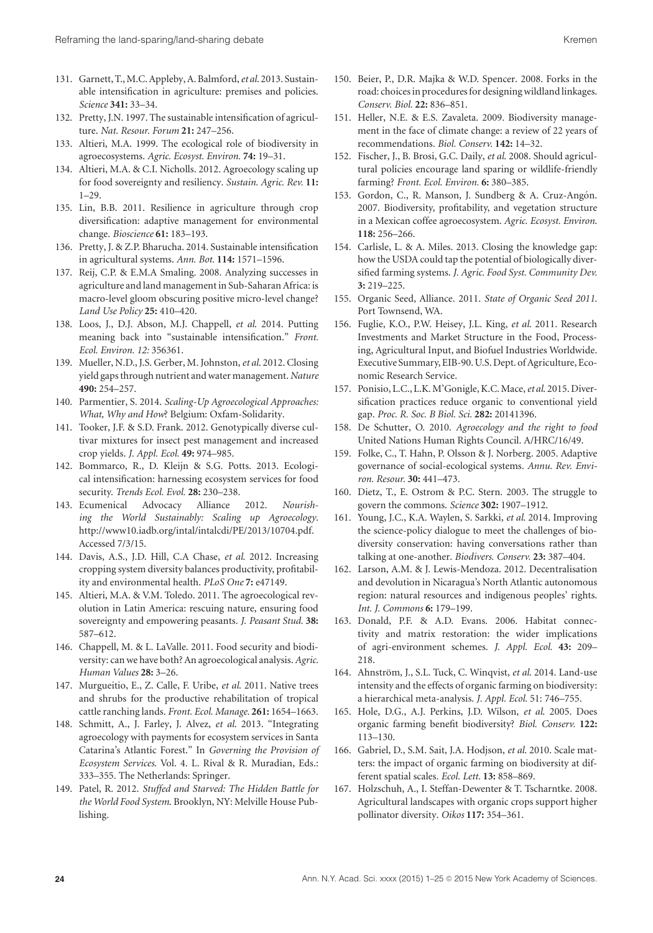- 131. Garnett, T.,M.C. Appleby, A. Balmford,*et al*. 2013. Sustainable intensification in agriculture: premises and policies. *Science* **341:** 33–34.
- 132. Pretty, J.N. 1997. The sustainable intensification of agriculture. *Nat. Resour. Forum* **21:** 247–256.
- 133. Altieri, M.A. 1999. The ecological role of biodiversity in agroecosystems. *Agric. Ecosyst. Environ.* **74:** 19–31.
- 134. Altieri, M.A. & C.I. Nicholls. 2012. Agroecology scaling up for food sovereignty and resiliency. *Sustain. Agric. Rev.* **11:** 1–29.
- 135. Lin, B.B. 2011. Resilience in agriculture through crop diversification: adaptive management for environmental change. *Bioscience* **61:** 183–193.
- 136. Pretty, J. & Z.P. Bharucha. 2014. Sustainable intensification in agricultural systems. *Ann. Bot.* **114:** 1571–1596.
- 137. Reij, C.P. & E.M.A Smaling. 2008. Analyzing successes in agriculture and land management in Sub-Saharan Africa: is macro-level gloom obscuring positive micro-level change? *Land Use Policy* **25:** 410–420.
- 138. Loos, J., D.J. Abson, M.J. Chappell, *et al*. 2014. Putting meaning back into "sustainable intensification." *Front. Ecol. Environ. 12:* 356361.
- 139. Mueller, N.D., J.S. Gerber, M. Johnston,*et al*. 2012. Closing yield gaps through nutrient and water management. *Nature* **490:** 254–257.
- 140. Parmentier, S. 2014. *Scaling-Up Agroecological Approaches: What, Why and How*? Belgium: Oxfam-Solidarity.
- 141. Tooker, J.F. & S.D. Frank. 2012. Genotypically diverse cultivar mixtures for insect pest management and increased crop yields. *J. Appl. Ecol.* **49:** 974–985.
- 142. Bommarco, R., D. Kleijn & S.G. Potts. 2013. Ecological intensification: harnessing ecosystem services for food security. *Trends Ecol. Evol.* **28:** 230–238.
- 143. Ecumenical Advocacy Alliance 2012. *Nourishing the World Sustainably: Scaling up Agroecology*. [http://www10.iadb.org/intal/intalcdi/PE/2013/10704.pdf.](http://www10.iadb.org/intal/intalcdi/PE/2013/10704.pdf) Accessed 7/3/15.
- 144. Davis, A.S., J.D. Hill, C.A Chase, *et al*. 2012. Increasing cropping system diversity balances productivity, profitability and environmental health. *PLoS One* **7:** e47149.
- 145. Altieri, M.A. & V.M. Toledo. 2011. The agroecological revolution in Latin America: rescuing nature, ensuring food sovereignty and empowering peasants. *J. Peasant Stud.* **38:** 587–612.
- 146. Chappell, M. & L. LaValle. 2011. Food security and biodiversity: can we have both? An agroecological analysis.*Agric. Human Values* **28:** 3–26.
- 147. Murgueitio, E., Z. Calle, F. Uribe, *et al*. 2011. Native trees and shrubs for the productive rehabilitation of tropical cattle ranching lands. *Front. Ecol. Manage.* **261:** 1654–1663.
- 148. Schmitt, A., J. Farley, J. Alvez, *et al*. 2013. "Integrating agroecology with payments for ecosystem services in Santa Catarina's Atlantic Forest." In *Governing the Provision of Ecosystem Services*. Vol. 4. L. Rival & R. Muradian, Eds.: 333–355. The Netherlands: Springer.
- 149. Patel, R. 2012. *Stuffed and Starved: The Hidden Battle for the World Food System*. Brooklyn, NY: Melville House Publishing.
- 150. Beier, P., D.R. Majka & W.D. Spencer. 2008. Forks in the road: choices in procedures for designing wildland linkages. *Conserv. Biol.* **22:** 836–851.
- 151. Heller, N.E. & E.S. Zavaleta. 2009. Biodiversity management in the face of climate change: a review of 22 years of recommendations. *Biol. Conserv.* **142:** 14–32.
- 152. Fischer, J., B. Brosi, G.C. Daily, *et al*. 2008. Should agricultural policies encourage land sparing or wildlife-friendly farming? *Front. Ecol. Environ.* **6:** 380–385.
- 153. Gordon, C., R. Manson, J. Sundberg & A. Cruz-Angón. 2007. Biodiversity, profitability, and vegetation structure in a Mexican coffee agroecosystem. *Agric. Ecosyst. Environ*. **118:** 256–266.
- 154. Carlisle, L. & A. Miles. 2013. Closing the knowledge gap: how the USDA could tap the potential of biologically diversified farming systems. *J. Agric. Food Syst. Community Dev.* **3:** 219–225.
- 155. Organic Seed, Alliance. 2011. *State of Organic Seed 2011*. Port Townsend, WA.
- 156. Fuglie, K.O., P.W. Heisey, J.L. King, *et al*. 2011. Research Investments and Market Structure in the Food, Processing, Agricultural Input, and Biofuel Industries Worldwide. Executive Summary, EIB-90. U.S. Dept. of Agriculture, Economic Research Service.
- 157. Ponisio, L.C., L.K.M'Gonigle, K.C.Mace,*et al*. 2015. Diversification practices reduce organic to conventional yield gap. *Proc. R. Soc. B Biol. Sci.* **282:** 20141396.
- 158. De Schutter, O. 2010. *Agroecology and the right to food* United Nations Human Rights Council. A/HRC/16/49.
- 159. Folke, C., T. Hahn, P. Olsson & J. Norberg. 2005. Adaptive governance of social-ecological systems. *Annu. Rev. Environ. Resour.* **30:** 441–473.
- 160. Dietz, T., E. Ostrom & P.C. Stern. 2003. The struggle to govern the commons. *Science* **302:** 1907–1912.
- 161. Young, J.C., K.A. Waylen, S. Sarkki, *et al*. 2014. Improving the science-policy dialogue to meet the challenges of biodiversity conservation: having conversations rather than talking at one-another. *Biodivers. Conserv.* **23:** 387–404.
- 162. Larson, A.M. & J. Lewis-Mendoza. 2012. Decentralisation and devolution in Nicaragua's North Atlantic autonomous region: natural resources and indigenous peoples' rights. *Int. J. Commons* **6:** 179–199.
- 163. Donald, P.F. & A.D. Evans. 2006. Habitat connectivity and matrix restoration: the wider implications of agri-environment schemes. *J. Appl. Ecol.* **43:** 209– 218.
- 164. Ahnström, J., S.L. Tuck, C. Winqvist, et al. 2014. Land-use intensity and the effects of organic farming on biodiversity: a hierarchical meta-analysis. *J. Appl. Ecol.* 51: 746–755.
- 165. Hole, D.G., A.J. Perkins, J.D. Wilson, *et al*. 2005. Does organic farming benefit biodiversity? *Biol. Conserv.* **122:** 113–130.
- 166. Gabriel, D., S.M. Sait, J.A. Hodjson, *et al*. 2010. Scale matters: the impact of organic farming on biodiversity at different spatial scales. *Ecol. Lett.* **13:** 858–869.
- 167. Holzschuh, A., I. Steffan-Dewenter & T. Tscharntke. 2008. Agricultural landscapes with organic crops support higher pollinator diversity. *Oikos* **117:** 354–361.